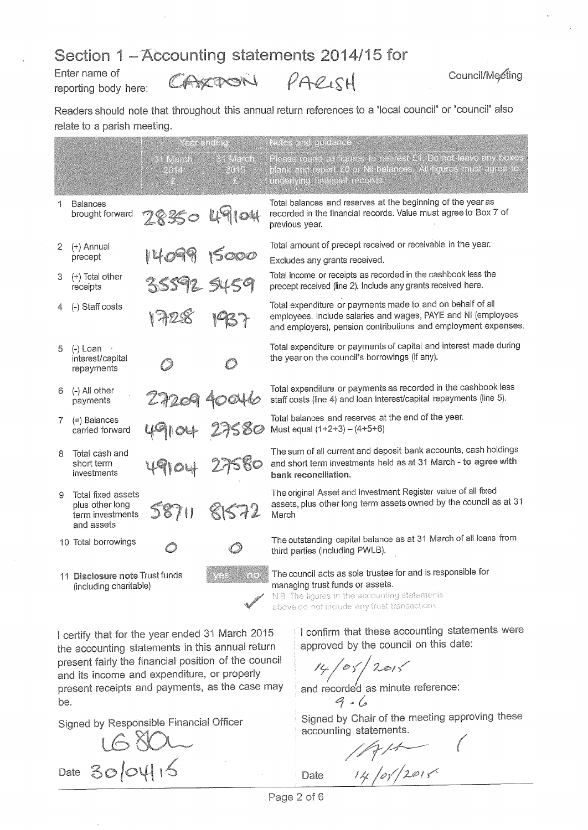### Section 1 - Accounting statements 2014/15 for

Enter name of reporting body here:

CAXPON

PARISH

Readers should note that throughout this annual return references to a 'local council' or 'council' also relate to a parish meeting.

|    |                                                                         | Y c'en cinellata         |                                | Notes and quidance                                                                                                                                                                                   |  |  |  |  |  |  |  |  |
|----|-------------------------------------------------------------------------|--------------------------|--------------------------------|------------------------------------------------------------------------------------------------------------------------------------------------------------------------------------------------------|--|--|--|--|--|--|--|--|
|    |                                                                         | <b>Children</b><br>RIT L | <b>Sa Mench</b><br><b>POAL</b> | Please round all figures to nearest £1. Do not leave any boxes<br>blank and report £0 or Nil balances. All figures must agree to<br>dincipality included records                                     |  |  |  |  |  |  |  |  |
| 1  | <b>Balances</b><br>brought forward                                      | 28350 491                | $\overline{\circ}$             | Total balances and reserves at the beginning of the year as<br>recorded in the financial records. Value must agree to Box 7 of<br>previous year.                                                     |  |  |  |  |  |  |  |  |
| 2  | (+) Annual<br>precept                                                   |                          | 15000                          | Total amount of precept received or receivable in the year.<br>Excludes any grants received.                                                                                                         |  |  |  |  |  |  |  |  |
| 3  | (+) Total other<br>receipts                                             | 35592 5459               |                                | Total income or receipts as recorded in the cashbook less the<br>precept received (line 2). Include any grants received here.                                                                        |  |  |  |  |  |  |  |  |
| 4  | (-) Staff costs                                                         |                          |                                | Total expenditure or payments made to and on behalf of all<br>employees. Include salaries and wages, PAYE and NI (employees<br>and employers), pension contributions and employment expenses.        |  |  |  |  |  |  |  |  |
| 5  | $(-)$ Loan $\rightarrow$<br>interest/capital<br>repayments              |                          |                                | Total expenditure or payments of capital and interest made during<br>the year on the council's borrowings (if any).                                                                                  |  |  |  |  |  |  |  |  |
| 6  | $(-)$ All other<br>payments                                             |                          |                                | Total expenditure or payments as recorded in the cashbook less<br>staff costs (line 4) and loan interest/capital repayments (line 5).                                                                |  |  |  |  |  |  |  |  |
| 7. | (=) Balances<br>carried forward                                         |                          |                                | Total balances and reserves at the end of the year.<br>Must equal $(1+2+3) - (4+5+6)$                                                                                                                |  |  |  |  |  |  |  |  |
| 8  | Total cash and<br>short term<br>investments                             |                          |                                | The sum of all current and deposit bank accounts, cash holdings<br>and short term investments held as at 31 March - to agree with<br>bank reconciliation.                                            |  |  |  |  |  |  |  |  |
| 9  | Total fixed assets<br>plus other long<br>term investments<br>and assets | 58711                    | 81572                          | The original Asset and Investment Register value of all fixed<br>assets, plus other long term assets owned by the council as at 31<br>March                                                          |  |  |  |  |  |  |  |  |
|    | 10 Total borrowings                                                     |                          |                                | The outstanding capital balance as at 31 March of all loans from<br>third parties (including PWLB).                                                                                                  |  |  |  |  |  |  |  |  |
|    | 11 Disclosure note Trust funds<br>(including charitable)                |                          | eers                           | The council acts as sole trustee for and is responsible for<br>managing trust funds or assets.<br>N.B. The figures in the accounting statements<br>at ann an eat bailed an rend front from continue. |  |  |  |  |  |  |  |  |

above do not include any trust transactions.

I certify that for the year ended 31 March 2015 the accounting statements in this annual return present fairly the financial position of the council and its income and expenditure, or properly present receipts and payments, as the case may be.

Signed by Responsible Financial Officer

1680L Date 30/04/15

I confirm that these accounting statements were approved by the council on this date:

 $14 / 05 / 2015$ 

and recorded as minute reference:  $9.6$ 

Signed by Chair of the meeting approving these accounting statements.

 $\sqrt{2}$ 

14/05/2015 Date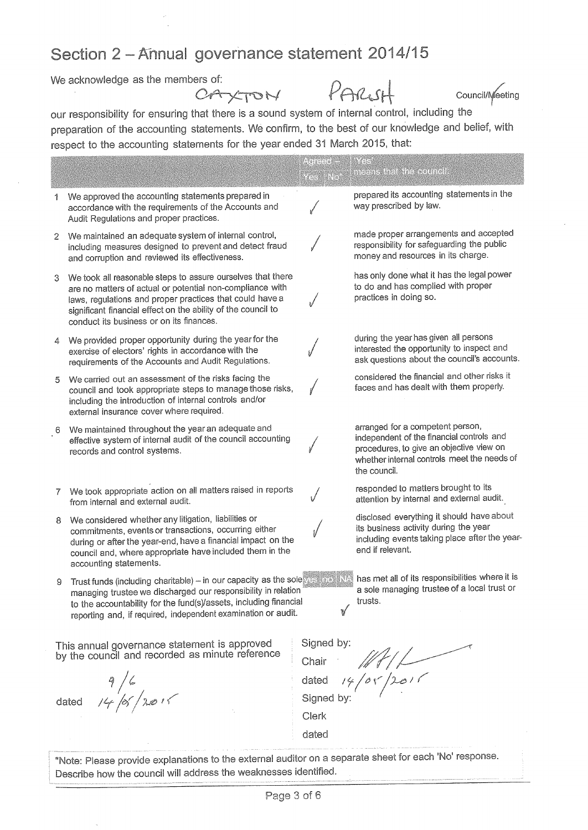# Section 2 - Annual governance statement 2014/15

We acknowledge as the members of:

CAXTON

PARISH

Council/Meeting

our responsibility for ensuring that there is a sound system of internal control, including the preparation of the accounting statements. We confirm, to the best of our knowledge and belief, with respect to the accounting statements for the year ended 31 March 2015, that:

|                |                                                                                                                                                                                                                                                                                                   | Asica S<br>YCE ENG  | SYSSI<br>nicans that the council                                                                                                                                                         |
|----------------|---------------------------------------------------------------------------------------------------------------------------------------------------------------------------------------------------------------------------------------------------------------------------------------------------|---------------------|------------------------------------------------------------------------------------------------------------------------------------------------------------------------------------------|
| 1              | We approved the accounting statements prepared in<br>accordance with the requirements of the Accounts and<br>Audit Regulations and proper practices.                                                                                                                                              |                     | prepared its accounting statements in the<br>way prescribed by law.                                                                                                                      |
| $\overline{2}$ | We maintained an adequate system of internal control,<br>including measures designed to prevent and detect fraud<br>and corruption and reviewed its effectiveness.                                                                                                                                |                     | made proper arrangements and accepted<br>responsibility for safeguarding the public<br>money and resources in its charge.                                                                |
| 3              | We took all reasonable steps to assure ourselves that there<br>are no matters of actual or potential non-compliance with<br>laws, regulations and proper practices that could have a<br>significant financial effect on the ability of the council to<br>conduct its business or on its finances. |                     | has only done what it has the legal power<br>to do and has complied with proper<br>practices in doing so.                                                                                |
| 4              | We provided proper opportunity during the year for the<br>exercise of electors' rights in accordance with the<br>requirements of the Accounts and Audit Regulations.                                                                                                                              |                     | during the year has given all persons<br>interested the opportunity to inspect and<br>ask questions about the council's accounts.                                                        |
| 5              | We carried out an assessment of the risks facing the<br>council and took appropriate steps to manage those risks,<br>including the introduction of internal controls and/or<br>external insurance cover where required.                                                                           |                     | considered the financial and other risks it<br>faces and has dealt with them properly.                                                                                                   |
| 6              | We maintained throughout the year an adequate and<br>effective system of internal audit of the council accounting<br>records and control systems.                                                                                                                                                 |                     | arranged for a competent person,<br>independent of the financial controls and<br>procedures, to give an objective view on<br>whether internal controls meet the needs of<br>the council. |
|                | We took appropriate action on all matters raised in reports<br>from internal and external audit.                                                                                                                                                                                                  |                     | responded to matters brought to its<br>attention by internal and external audit.                                                                                                         |
| 8              | We considered whether any litigation, liabilities or<br>commitments, events or transactions, occurring either<br>during or after the year-end, have a financial impact on the<br>council and, where appropriate have included them in the<br>accounting statements.                               |                     | disclosed everything it should have about<br>its business activity during the year<br>including events taking place after the year-<br>end if relevant.                                  |
| 9              | Trust funds (including charitable) - in our capacity as the sole vesting TNA<br>managing trustee we discharged our responsibility in relation<br>to the accountability for the fund(s)/assets, including financial<br>reporting and, if required, independent examination or audit.               | V                   | has met all of its responsibilities where it is<br>a sole managing trustee of a local trust or<br>trusts.                                                                                |
|                | This annual governance statement is approved<br>by the council and recorded as minute reference                                                                                                                                                                                                   | Signed by:          | Chair $\mathbb{Z}/\mathbb{Z}$<br>dated $\frac{14}{9}$ or $\frac{1201}{9}$                                                                                                                |
|                | $\frac{9}{6}$<br>dated $\frac{1}{4}$ /es/2015                                                                                                                                                                                                                                                     |                     |                                                                                                                                                                                          |
|                |                                                                                                                                                                                                                                                                                                   | Signed by:<br>Clerk |                                                                                                                                                                                          |
|                |                                                                                                                                                                                                                                                                                                   | dated               |                                                                                                                                                                                          |
|                | *Note: Please provide explanations to the external auditor on a separate sheet for each 'No' response.                                                                                                                                                                                            |                     |                                                                                                                                                                                          |

Describe how the council will address the weaknesses identified.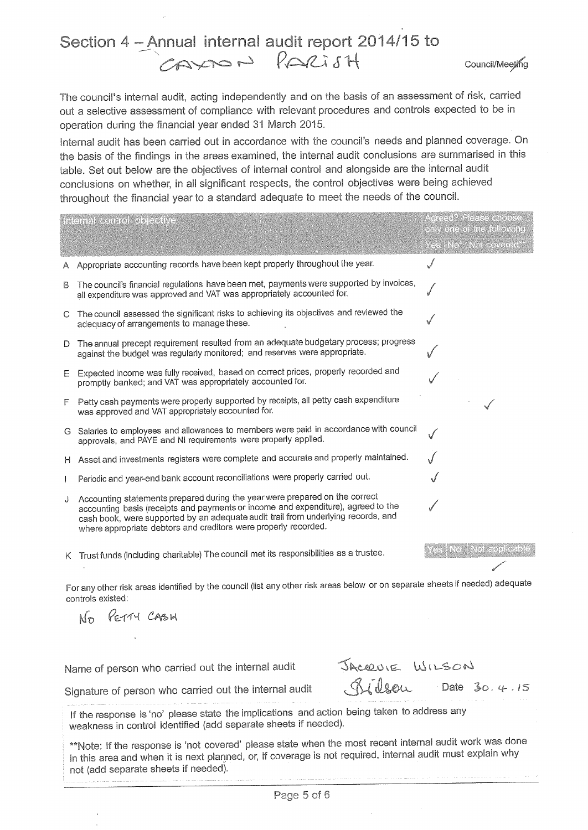## Section 4 - Annual internal audit report 2014/15 to CAYON PARISH

Council/Meeting

The council's internal audit, acting independently and on the basis of an assessment of risk, carried out a selective assessment of compliance with relevant procedures and controls expected to be in operation during the financial year ended 31 March 2015.

Internal audit has been carried out in accordance with the council's needs and planned coverage. On the basis of the findings in the areas examined, the internal audit conclusions are summarised in this table. Set out below are the objectives of internal control and alongside are the internal audit conclusions on whether, in all significant respects, the control objectives were being achieved throughout the financial year to a standard adequate to meet the needs of the council.

| A Appropriate accounting records have been kept properly throughout the year.<br>The council's financial regulations have been met, payments were supported by invoices,<br>В<br>all expenditure was approved and VAT was appropriately accounted for.<br>C The council assessed the significant risks to achieving its objectives and reviewed the<br>adequacy of arrangements to manage these.<br>D The annual precept requirement resulted from an adequate budgetary process; progress<br>against the budget was regularly monitored; and reserves were appropriate.<br>E Expected income was fully received, based on correct prices, properly recorded and<br>promptly banked; and VAT was appropriately accounted for.<br>F Petty cash payments were properly supported by receipts, all petty cash expenditure<br>was approved and VAT appropriately accounted for.<br>G Salaries to employees and allowances to members were paid in accordance with council<br>approvals, and PAYE and NI requirements were properly applied.<br>H Asset and investments registers were complete and accurate and properly maintained.<br>Periodic and year-end bank account reconciliations were properly carried out.<br>$\frac{1}{2}$<br>Accounting statements prepared during the year were prepared on the correct<br>J<br>accounting basis (receipts and payments or income and expenditure), agreed to the<br>cash book, were supported by an adequate audit trail from underlying records, and<br>where appropriate debtors and creditors were properly recorded.<br>es No Not applicable<br>K Trust funds (including charitable) The council met its responsibilities as a trustee.<br>For any other risk areas identified by the council (list any other risk areas below or on separate sheets if needed) adequate<br>controls existed:<br>No PETTY CASH<br>JACQUIE WILSON<br>Name of person who carried out the internal audit<br>$\delta$ illeu Date 30.4.15 | internal control objective | Agreed? Please choose<br>only one of the following<br>(es No Not covered) |  |  |  |  |  |  |  |  |  |
|---------------------------------------------------------------------------------------------------------------------------------------------------------------------------------------------------------------------------------------------------------------------------------------------------------------------------------------------------------------------------------------------------------------------------------------------------------------------------------------------------------------------------------------------------------------------------------------------------------------------------------------------------------------------------------------------------------------------------------------------------------------------------------------------------------------------------------------------------------------------------------------------------------------------------------------------------------------------------------------------------------------------------------------------------------------------------------------------------------------------------------------------------------------------------------------------------------------------------------------------------------------------------------------------------------------------------------------------------------------------------------------------------------------------------------------------------------------------------------------------------------------------------------------------------------------------------------------------------------------------------------------------------------------------------------------------------------------------------------------------------------------------------------------------------------------------------------------------------------------------------------------------------------------------------------------------------------------------|----------------------------|---------------------------------------------------------------------------|--|--|--|--|--|--|--|--|--|
|                                                                                                                                                                                                                                                                                                                                                                                                                                                                                                                                                                                                                                                                                                                                                                                                                                                                                                                                                                                                                                                                                                                                                                                                                                                                                                                                                                                                                                                                                                                                                                                                                                                                                                                                                                                                                                                                                                                                                                     |                            |                                                                           |  |  |  |  |  |  |  |  |  |
|                                                                                                                                                                                                                                                                                                                                                                                                                                                                                                                                                                                                                                                                                                                                                                                                                                                                                                                                                                                                                                                                                                                                                                                                                                                                                                                                                                                                                                                                                                                                                                                                                                                                                                                                                                                                                                                                                                                                                                     |                            |                                                                           |  |  |  |  |  |  |  |  |  |
|                                                                                                                                                                                                                                                                                                                                                                                                                                                                                                                                                                                                                                                                                                                                                                                                                                                                                                                                                                                                                                                                                                                                                                                                                                                                                                                                                                                                                                                                                                                                                                                                                                                                                                                                                                                                                                                                                                                                                                     |                            |                                                                           |  |  |  |  |  |  |  |  |  |
|                                                                                                                                                                                                                                                                                                                                                                                                                                                                                                                                                                                                                                                                                                                                                                                                                                                                                                                                                                                                                                                                                                                                                                                                                                                                                                                                                                                                                                                                                                                                                                                                                                                                                                                                                                                                                                                                                                                                                                     |                            |                                                                           |  |  |  |  |  |  |  |  |  |
|                                                                                                                                                                                                                                                                                                                                                                                                                                                                                                                                                                                                                                                                                                                                                                                                                                                                                                                                                                                                                                                                                                                                                                                                                                                                                                                                                                                                                                                                                                                                                                                                                                                                                                                                                                                                                                                                                                                                                                     |                            |                                                                           |  |  |  |  |  |  |  |  |  |
|                                                                                                                                                                                                                                                                                                                                                                                                                                                                                                                                                                                                                                                                                                                                                                                                                                                                                                                                                                                                                                                                                                                                                                                                                                                                                                                                                                                                                                                                                                                                                                                                                                                                                                                                                                                                                                                                                                                                                                     |                            |                                                                           |  |  |  |  |  |  |  |  |  |
|                                                                                                                                                                                                                                                                                                                                                                                                                                                                                                                                                                                                                                                                                                                                                                                                                                                                                                                                                                                                                                                                                                                                                                                                                                                                                                                                                                                                                                                                                                                                                                                                                                                                                                                                                                                                                                                                                                                                                                     |                            |                                                                           |  |  |  |  |  |  |  |  |  |
|                                                                                                                                                                                                                                                                                                                                                                                                                                                                                                                                                                                                                                                                                                                                                                                                                                                                                                                                                                                                                                                                                                                                                                                                                                                                                                                                                                                                                                                                                                                                                                                                                                                                                                                                                                                                                                                                                                                                                                     |                            |                                                                           |  |  |  |  |  |  |  |  |  |
|                                                                                                                                                                                                                                                                                                                                                                                                                                                                                                                                                                                                                                                                                                                                                                                                                                                                                                                                                                                                                                                                                                                                                                                                                                                                                                                                                                                                                                                                                                                                                                                                                                                                                                                                                                                                                                                                                                                                                                     |                            |                                                                           |  |  |  |  |  |  |  |  |  |
|                                                                                                                                                                                                                                                                                                                                                                                                                                                                                                                                                                                                                                                                                                                                                                                                                                                                                                                                                                                                                                                                                                                                                                                                                                                                                                                                                                                                                                                                                                                                                                                                                                                                                                                                                                                                                                                                                                                                                                     |                            |                                                                           |  |  |  |  |  |  |  |  |  |
|                                                                                                                                                                                                                                                                                                                                                                                                                                                                                                                                                                                                                                                                                                                                                                                                                                                                                                                                                                                                                                                                                                                                                                                                                                                                                                                                                                                                                                                                                                                                                                                                                                                                                                                                                                                                                                                                                                                                                                     |                            |                                                                           |  |  |  |  |  |  |  |  |  |
|                                                                                                                                                                                                                                                                                                                                                                                                                                                                                                                                                                                                                                                                                                                                                                                                                                                                                                                                                                                                                                                                                                                                                                                                                                                                                                                                                                                                                                                                                                                                                                                                                                                                                                                                                                                                                                                                                                                                                                     |                            |                                                                           |  |  |  |  |  |  |  |  |  |
|                                                                                                                                                                                                                                                                                                                                                                                                                                                                                                                                                                                                                                                                                                                                                                                                                                                                                                                                                                                                                                                                                                                                                                                                                                                                                                                                                                                                                                                                                                                                                                                                                                                                                                                                                                                                                                                                                                                                                                     |                            |                                                                           |  |  |  |  |  |  |  |  |  |
|                                                                                                                                                                                                                                                                                                                                                                                                                                                                                                                                                                                                                                                                                                                                                                                                                                                                                                                                                                                                                                                                                                                                                                                                                                                                                                                                                                                                                                                                                                                                                                                                                                                                                                                                                                                                                                                                                                                                                                     |                            |                                                                           |  |  |  |  |  |  |  |  |  |
|                                                                                                                                                                                                                                                                                                                                                                                                                                                                                                                                                                                                                                                                                                                                                                                                                                                                                                                                                                                                                                                                                                                                                                                                                                                                                                                                                                                                                                                                                                                                                                                                                                                                                                                                                                                                                                                                                                                                                                     |                            |                                                                           |  |  |  |  |  |  |  |  |  |
| Signature of person who carried out the internal audit                                                                                                                                                                                                                                                                                                                                                                                                                                                                                                                                                                                                                                                                                                                                                                                                                                                                                                                                                                                                                                                                                                                                                                                                                                                                                                                                                                                                                                                                                                                                                                                                                                                                                                                                                                                                                                                                                                              |                            |                                                                           |  |  |  |  |  |  |  |  |  |

If the response is 'no' please state the implications and action being taken to address any weakness in control identified (add separate sheets if needed).

\*\*Note: If the response is 'not covered' please state when the most recent internal audit work was done in this area and when it is next planned, or, if coverage is not required, internal audit must explain why not (add separate sheets if needed).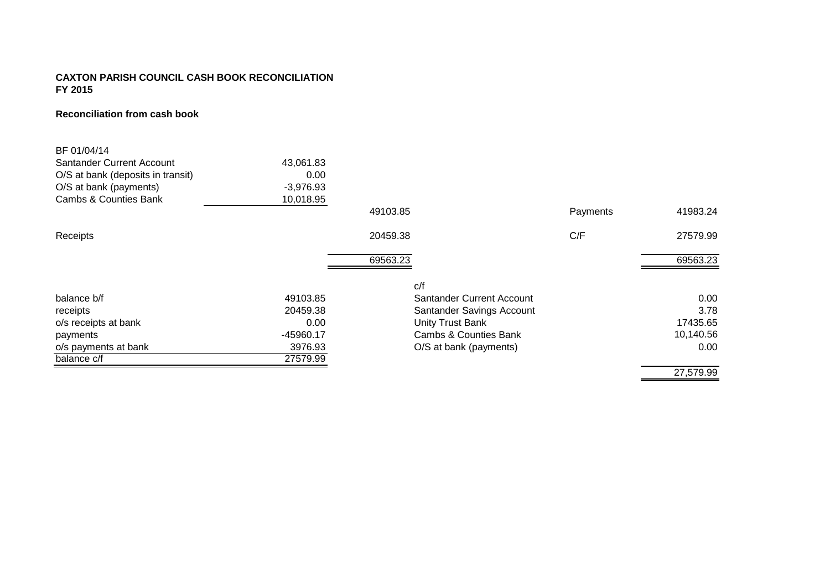### **CAXTON PARISH COUNCIL CASH BOOK RECONCILIATION FY 2015**

#### **Reconciliation from cash book**

| BF 01/04/14                       |             |          |                           |          |           |
|-----------------------------------|-------------|----------|---------------------------|----------|-----------|
| Santander Current Account         | 43,061.83   |          |                           |          |           |
| O/S at bank (deposits in transit) | 0.00        |          |                           |          |           |
| O/S at bank (payments)            | $-3,976.93$ |          |                           |          |           |
| Cambs & Counties Bank             | 10,018.95   |          |                           |          |           |
|                                   |             | 49103.85 |                           | Payments | 41983.24  |
| Receipts                          |             | 20459.38 |                           | C/F      | 27579.99  |
|                                   |             | 69563.23 |                           |          | 69563.23  |
|                                   |             | C/f      |                           |          |           |
| balance b/f                       | 49103.85    |          | Santander Current Account |          | 0.00      |
| receipts                          | 20459.38    |          | Santander Savings Account |          | 3.78      |
| o/s receipts at bank              | 0.00        |          | <b>Unity Trust Bank</b>   |          | 17435.65  |
| payments                          | -45960.17   |          | Cambs & Counties Bank     |          | 10,140.56 |
| o/s payments at bank              | 3976.93     |          | O/S at bank (payments)    |          | 0.00      |
| balance c/f                       | 27579.99    |          |                           |          |           |
|                                   |             |          |                           |          | 27,579.99 |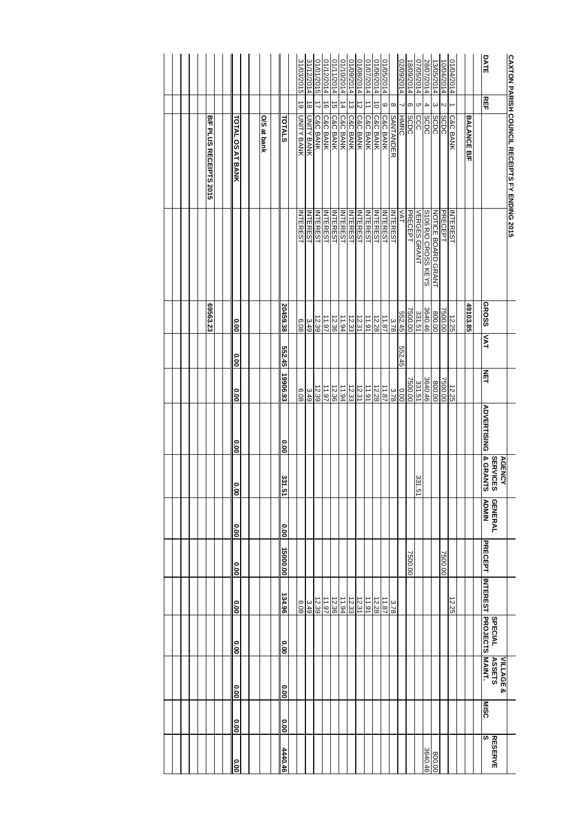|                        |                         |             |               | 31/03/2015      | 31/12/2014      | 01/01/2015                  | 01/12/2014          | 01/11/2014          | 01/10/2014          | 01/09/2014          | 01/08/2014          | 01/07/2014          | 01/06/2014      | 01/05/2014          |                  | 02/09/2014  | 18/09/2014  | 07/05/2014          | 28/07/2014               | 13/05/2014                | 10/04/2014  | 01/04/2014          |                    | <b>DATE</b>                                            |                                                      |
|------------------------|-------------------------|-------------|---------------|-----------------|-----------------|-----------------------------|---------------------|---------------------|---------------------|---------------------|---------------------|---------------------|-----------------|---------------------|------------------|-------------|-------------|---------------------|--------------------------|---------------------------|-------------|---------------------|--------------------|--------------------------------------------------------|------------------------------------------------------|
|                        |                         |             |               | $\vec{0}$       | $\vec{8}$       | $\vec{v}$                   | $\vec{0}$           | G                   | $\frac{1}{4}$       | ω                   | N                   |                     | $\vec{o}$       | 6                   | $\infty$         |             | თ           | cл                  | 4                        | ω                         | $\sim$      |                     |                    | REF                                                    |                                                      |
| B/F PLUS RECEIPTS 2015 | <b>FOTAL OS AT BANK</b> | O/S at bank | <b>TOTALS</b> | UNITY BANK      | UNITY BANK      | <b>C&amp;C BANK</b>         | <b>C&amp;C BANK</b> | <b>C&amp;C BANK</b> | <b>C&amp;C BANK</b> | <b>C&amp;C BANK</b> | <b>C&amp;C BANK</b> | <b>C&amp;C BANK</b> | C&C BANK        | <b>C&amp;C BANK</b> | <b>SANTANDER</b> | <b>HMRC</b> | <b>SCDC</b> | ခြင်း               | <b>SCDC</b>              | <b>SCDC</b>               | <b>SCDC</b> | <b>C&amp;C BANK</b> | <b>BALANCE B/F</b> |                                                        | <b>CAXTON PARISH COUNCIL RECEIPTS FY ENDING 2015</b> |
|                        |                         |             |               | <b>INTEREST</b> | <b>INTEREST</b> | <b>INTEREST</b><br>INTEREST |                     | <b>INTEREST</b>     | <b>NTEREST</b>      | <b>NTEREST</b>      | <b>NTEREST</b>      | <b>INTEREST</b>     | <b>INTEREST</b> | <b>INTEREST</b>     | <b>INTEREST</b>  | VAT         | PRECEPT     | <b>VERGES GRANT</b> | S106 R/O CROSS KEYS      | <b>NOTICE BOARD GRANT</b> | PRECEPT     | <b>INTEREST</b>     |                    |                                                        |                                                      |
| 69563.23               | 0.00                    |             | 20459.38      | 6.08            | 3.49            | 12.39                       | 11.97               | 12.36               | 11.94               | 12.33               | 12.31               | 11.91               | 12.28           | 11.87               | 3.78             | 552.45      | 7500.00     | 331.51              | $\frac{800.00}{3640.46}$ |                           | 7500.00     | 12.25               | 49103.85           | <b>GROSS</b>                                           |                                                      |
|                        | <b>0.00</b>             |             | 552.45        |                 |                 |                             |                     |                     |                     |                     |                     |                     |                 |                     |                  | 552.45      |             |                     |                          |                           |             |                     |                    | <b>TAY</b>                                             |                                                      |
|                        | 000                     |             | 19906.93      | 8.08            | 3.49            | 12.39                       | 11.97               | 12.36               | 11.94               | 12.33               | 12.31               | 11.91               | 12.28           | 11.87               | 3.78             | 0.00        | 7500.00     | 331.51              | $\frac{800.00}{3640.46}$ |                           | 7500.00     | 12.25               |                    | NET                                                    |                                                      |
|                        | <b>0.00</b>             |             | o.o           |                 |                 |                             |                     |                     |                     |                     |                     |                     |                 |                     |                  |             |             |                     |                          |                           |             |                     |                    | <b>ADVERTISING</b>                                     |                                                      |
|                        | $\frac{1}{8}$           |             | 331.51        |                 |                 |                             |                     |                     |                     |                     |                     |                     |                 |                     |                  |             |             | 331.51              |                          |                           |             |                     |                    | & GRANTS<br><b>SERVICES</b><br><b>AGENCY</b>           |                                                      |
|                        | <b>0.00</b>             |             | 0.00          |                 |                 |                             |                     |                     |                     |                     |                     |                     |                 |                     |                  |             |             |                     |                          |                           |             |                     |                    | <b>NINOA</b><br><b>GENERAL</b>                         |                                                      |
|                        | <b>00°</b>              |             | 15000.00      |                 |                 |                             |                     |                     |                     |                     |                     |                     |                 |                     |                  |             | 7500.00     |                     |                          |                           | 7500.00     |                     |                    | <b>PRECEPT</b>                                         |                                                      |
|                        | 00.0                    |             | 134.96        | 8.08            | 3.49            | 12.39                       | 11.97               | 12.36               | 11.94               | 12.33               | 12.31               | 11.91               | 12.28           | 11.87               | 3.78             |             |             |                     |                          |                           |             | 12.25               |                    |                                                        |                                                      |
|                        | <b>00°</b>              |             | 0.00          |                 |                 |                             |                     |                     |                     |                     |                     |                     |                 |                     |                  |             |             |                     |                          |                           |             |                     |                    | <b>INTEREST PROJECTS</b><br><b>SPECIAL</b>             |                                                      |
|                        | <b>0.00</b>             |             | o.o           |                 |                 |                             |                     |                     |                     |                     |                     |                     |                 |                     |                  |             |             |                     |                          |                           |             |                     |                    | <b>MAINT.</b><br><b>ASSETS</b><br><b>VILLAGE &amp;</b> |                                                      |
|                        | 0.00                    |             | 00.00         |                 |                 |                             |                     |                     |                     |                     |                     |                     |                 |                     |                  |             |             |                     |                          |                           |             |                     |                    | <b>MISC</b>                                            |                                                      |
|                        | o.oo                    |             | 4440.46       |                 |                 |                             |                     |                     |                     |                     |                     |                     |                 |                     |                  |             |             |                     | 3640.46                  | 800.00                    |             |                     |                    | S<br><b>RESERVE</b>                                    |                                                      |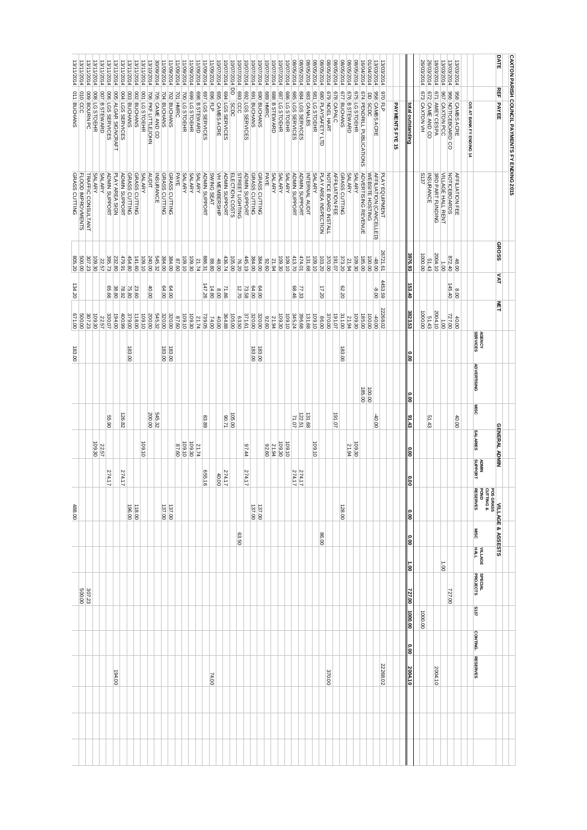| <b>DATE</b><br><b>CAXTON PARISH COUNCIL PAYMENTS FY ENDING 2015</b><br>08/05/2014<br>08/05/2014<br>08/05/2014<br>01/04/2014<br>30/09/2014<br>08/05/2014<br>08/05/2014<br>102/90/80<br>48/05/2014<br>08/05/2014<br>08/05/2014<br>08/05/2014<br>26/03/2014<br>11/09/2014<br>11/09/2014<br>10/07/2014<br>16/04/2014<br>26/03/2014<br>18/03/2014<br>13/10/2014<br>11/08/2014<br>11/09/2014<br>1/09/2014<br>10/07/2014<br>10/07/2014<br>10/07/2014<br>10/07/2014<br>10/07/2014<br>13/03/2014<br>13/03/2014<br>13/11/2014<br>13/11/2014<br>13/11/2014<br>13/11/2014<br>13/11/2014<br>13/11/2014<br>13/11/2014<br>11/09/2014<br>11/09/2014<br>10/07/2014<br>10/07/2014<br>10/07/2014<br>10/07/2014<br>13/03/2014<br>13/03/2014<br>13/11/2014<br>11/09/2014<br>10/07/2014<br>3/11/2014<br><b>REF PAYEE</b><br>8<br>698 B STEWARD<br>695 CAMBS ACRE<br>694 LGS SERVICES<br>E69<br>692 LGS SERVICES<br>689 HMRC<br>671 AMEY CESPA<br>686 LG STOEHR<br>678 CAPALC<br>006 LGS SERVICES<br>675 LG STOEHR<br>003 BUCHANS<br>697 LGS SERVICES<br>967 CAXTON PCC<br>705 CAME AND CO<br>701 HMRC<br>688 B STEWARD<br>681 LG STOEHR<br>674 PENDRILL PUBLICATIONS<br>966 NOTICEBOARD CO<br>958 CAMBS ACRE<br>009 BOURN PC<br>005 ALGAR SIGNCRAFT<br>002 BUCHANS<br>706<br>969<br>691 BUCHANS<br>069<br><b>G85</b><br>683 CANALBS<br>680 PLAYSAFETY LTD<br>677 BUCHANS<br>0/9<br>958 CAMBS ACRE<br>970 FLP<br>673 CAXTON VH<br>800<br>007 B STEWARD<br><b>DO4</b><br><b>PO1</b><br>702<br>700<br>669<br>687 LG STOEHR<br>P89<br>679 NOEL HART<br>672 CAME AND CO<br>704<br>$\overline{a}$<br><b>PKF LITTLEJOHN</b><br>LG STOEHR<br><b>BUCHANS</b><br><b>BUCHANS</b><br>LG STOEHR<br>LG STOEHR<br>FL5<br>ccc<br><b>BUCHANS</b><br>LGS<br>SERVICES<br><b>B STEWARD</b><br><b>SCDC</b><br><b>SCDC</b><br>LGS SERVICES<br>LGS SERVICES<br>LG STOEHR<br>O/S AT BANK FY ENDING 14<br>PAYMENTS FYE 15<br>total outstanding<br><b>SALARY</b><br>PLAY AREA SIGN<br>GRASS CUTTING<br><b>SALARY</b><br>PAYE<br><b>SALARY</b><br><b>SALARY</b><br><b>SALARY</b><br>VH MEMBERSHIP<br><b>STREET LIGHTING</b><br><b>ADMIN SUPPORT</b><br>GRASS CUTTING<br><b>GRASS CUTTING</b><br><b>PAYE</b><br><b>SALARY</b><br><b>SALARY</b><br><b>SALARY</b><br><b>ADMIN SUPPORT</b><br><b>ADMIN SUPPORT</b><br><b>SALARY</b><br>PLAY AREA INSPECTION<br><b>AFFILIATION FEE</b><br>GRASS CUTTING<br><b>SALARY</b><br><b>ADVERTISING REVENUE</b><br>AFFILIATION (CANCELLED)<br>WEBSITE HOSTING<br><b>S137</b><br><b>SRD PART FUNDING</b><br><b>VILLAGE HALL RENT</b><br><b>AFFILIATION FEE</b><br>NOTICEBOARDS<br><b>SALARY</b><br><b>ADMIN SUPPORT</b><br><b>ADMIN SUPPORT</b><br>GRASS CUTTING<br><b>AUDIT</b><br><b>INSURANCE</b><br>GRASS CUTTING<br><b>GRASS CUTTING</b><br><b>ADMIN SUPPORT</b><br>SWING SEAT<br><b>ADMIN SUPPORT</b><br>NOTICE BOARD INSTALL<br><b>SALARY</b><br>PLAY EQUIPMENT<br><b><i>TRAFFIC CONSULTANT</i></b><br>ELECTION COSTS<br>INTERNAL AUDIT<br><b>INSURANCE</b><br>GROSS<br>26721.61<br>3976.93<br>2004.10<br>000.00<br>872.40<br>479.91<br>454.80<br>545.32<br>886.31<br>445.19<br>413.70<br>474.01<br>370.00<br>191.07<br>373.20<br>307.23<br>109.30<br>395.73<br>240.00<br>384.00<br>384.00<br>384.00<br>109.10<br>103.20<br>232.80<br>109.10<br>436.74<br>131.68<br>109.10<br>141.60<br>109.10<br>109.30<br>105.00<br>109.30<br>109.30<br>100.00<br>85.00<br>09'28<br>21.74<br>76.20<br>09'76<br>$-48.00$<br>51.43<br>22.57<br>88.80<br>48.00<br>21.94<br>21.94<br>48.00<br>$\frac{1}{2}$<br><b>VAT</b><br>4453.59<br>145.40<br>153.40<br>147.26<br>64.00<br>68.46<br>62.20<br>99'99<br>64.00<br>12.70<br>64.00<br>64.00<br>17.20<br>$-8.00$<br>38.80<br>78.92<br>75.80<br>23.60<br>40.00<br>14.80<br>71.86<br>73.58<br>77.33<br>8.00<br>8.00<br>NET<br>22268.02<br>3823.53<br>2004.10<br>000.00<br>545.32<br>371.61<br>345.24<br>311.00<br>307.23<br>109.30<br>330.07<br>194.00<br>400.99<br>379.00<br>118.00<br>200.00<br>320.00<br>364.88<br>320.00<br>109.10<br>396.68<br>370.00<br>191.07<br>727.00<br>109.10<br>109.10<br>739.05<br>320.00<br>131.68<br>109.10<br>185.00<br>320.00<br>109.30<br>109.30<br>109.30<br>100.00<br>-40.00<br>105.00<br>51.43<br>87.60<br>21.74<br>63.50<br>0926<br>21.94<br>86.00<br>22.57<br>74.00<br>40.00<br>21.94<br>40.00<br>$\overline{001}$<br>AGENCY<br>SERVICES<br>183.00<br>183.00<br>183.00<br>183.00<br>183.00<br>183.00<br>°00<br><b>ADVERTISING</b><br>100.00<br>。<br>8<br><b>MISC</b><br>200.00<br>545.32<br>126.82<br>105.00<br>191.07<br>131.68<br>122.51<br>$-40.00$<br>91.43<br>55.90<br>83.89<br>12.06<br>71.07<br>51.43<br>40.00<br><b>GENERAL ADMIN</b><br><b>SALARIES</b><br>109.10<br>109.10<br>109.30<br>109.30<br>109.30<br>109.10<br>109.30<br>109.10<br>09'28<br>97.44<br>09'76<br>21.94<br>21.74<br>21.94<br>22.57<br><b>00.00</b> | 488.00                                                                                                                                                                                                                                                                                                                                                                                                                                                                                                                         |
|-----------------------------------------------------------------------------------------------------------------------------------------------------------------------------------------------------------------------------------------------------------------------------------------------------------------------------------------------------------------------------------------------------------------------------------------------------------------------------------------------------------------------------------------------------------------------------------------------------------------------------------------------------------------------------------------------------------------------------------------------------------------------------------------------------------------------------------------------------------------------------------------------------------------------------------------------------------------------------------------------------------------------------------------------------------------------------------------------------------------------------------------------------------------------------------------------------------------------------------------------------------------------------------------------------------------------------------------------------------------------------------------------------------------------------------------------------------------------------------------------------------------------------------------------------------------------------------------------------------------------------------------------------------------------------------------------------------------------------------------------------------------------------------------------------------------------------------------------------------------------------------------------------------------------------------------------------------------------------------------------------------------------------------------------------------------------------------------------------------------------------------------------------------------------------------------------------------------------------------------------------------------------------------------------------------------------------------------------------------------------------------------------------------------------------------------------------------------------------------------------------------------------------------------------------------------------------------------------------------------------------------------------------------------------------------------------------------------------------------------------------------------------------------------------------------------------------------------------------------------------------------------------------------------------------------------------------------------------------------------------------------------------------------------------------------------------------------------------------------------------------------------------------------------------------------------------------------------------------------------------------------------------------------------------------------------------------------------------------------------------------------------------------------------------------------------------------------------------------------------------------------------------------------------------------------------------------------------------------------------------------------------------------------------------------------------------------------------------------------------------------------------------------------------------------------------------------------------------------------------------------------------------------------------------------------------------------------------------------------------------------------------------------------------------------------------------------------------------------------------------------------------------------------------------------------------------------------------------------------------------------------------------------------------------------------------------------------------------------------------------------------------------------------------------------------------------------------------------------------------------------------------------------------------------------------------------------------------------------------------------------------------------------------------------------------------------------------------------------------------------------------------------------------------|--------------------------------------------------------------------------------------------------------------------------------------------------------------------------------------------------------------------------------------------------------------------------------------------------------------------------------------------------------------------------------------------------------------------------------------------------------------------------------------------------------------------------------|
|                                                                                                                                                                                                                                                                                                                                                                                                                                                                                                                                                                                                                                                                                                                                                                                                                                                                                                                                                                                                                                                                                                                                                                                                                                                                                                                                                                                                                                                                                                                                                                                                                                                                                                                                                                                                                                                                                                                                                                                                                                                                                                                                                                                                                                                                                                                                                                                                                                                                                                                                                                                                                                                                                                                                                                                                                                                                                                                                                                                                                                                                                                                                                                                                                                                                                                                                                                                                                                                                                                                                                                                                                                                                                                                                                                                                                                                                                                                                                                                                                                                                                                                                                                                                                                                                                                                                                                                                                                                                                                                                                                                                                                                                                                                                                                                         |                                                                                                                                                                                                                                                                                                                                                                                                                                                                                                                                |
|                                                                                                                                                                                                                                                                                                                                                                                                                                                                                                                                                                                                                                                                                                                                                                                                                                                                                                                                                                                                                                                                                                                                                                                                                                                                                                                                                                                                                                                                                                                                                                                                                                                                                                                                                                                                                                                                                                                                                                                                                                                                                                                                                                                                                                                                                                                                                                                                                                                                                                                                                                                                                                                                                                                                                                                                                                                                                                                                                                                                                                                                                                                                                                                                                                                                                                                                                                                                                                                                                                                                                                                                                                                                                                                                                                                                                                                                                                                                                                                                                                                                                                                                                                                                                                                                                                                                                                                                                                                                                                                                                                                                                                                                                                                                                                                         |                                                                                                                                                                                                                                                                                                                                                                                                                                                                                                                                |
|                                                                                                                                                                                                                                                                                                                                                                                                                                                                                                                                                                                                                                                                                                                                                                                                                                                                                                                                                                                                                                                                                                                                                                                                                                                                                                                                                                                                                                                                                                                                                                                                                                                                                                                                                                                                                                                                                                                                                                                                                                                                                                                                                                                                                                                                                                                                                                                                                                                                                                                                                                                                                                                                                                                                                                                                                                                                                                                                                                                                                                                                                                                                                                                                                                                                                                                                                                                                                                                                                                                                                                                                                                                                                                                                                                                                                                                                                                                                                                                                                                                                                                                                                                                                                                                                                                                                                                                                                                                                                                                                                                                                                                                                                                                                                                                         |                                                                                                                                                                                                                                                                                                                                                                                                                                                                                                                                |
|                                                                                                                                                                                                                                                                                                                                                                                                                                                                                                                                                                                                                                                                                                                                                                                                                                                                                                                                                                                                                                                                                                                                                                                                                                                                                                                                                                                                                                                                                                                                                                                                                                                                                                                                                                                                                                                                                                                                                                                                                                                                                                                                                                                                                                                                                                                                                                                                                                                                                                                                                                                                                                                                                                                                                                                                                                                                                                                                                                                                                                                                                                                                                                                                                                                                                                                                                                                                                                                                                                                                                                                                                                                                                                                                                                                                                                                                                                                                                                                                                                                                                                                                                                                                                                                                                                                                                                                                                                                                                                                                                                                                                                                                                                                                                                                         | 274.17                                                                                                                                                                                                                                                                                                                                                                                                                                                                                                                         |
|                                                                                                                                                                                                                                                                                                                                                                                                                                                                                                                                                                                                                                                                                                                                                                                                                                                                                                                                                                                                                                                                                                                                                                                                                                                                                                                                                                                                                                                                                                                                                                                                                                                                                                                                                                                                                                                                                                                                                                                                                                                                                                                                                                                                                                                                                                                                                                                                                                                                                                                                                                                                                                                                                                                                                                                                                                                                                                                                                                                                                                                                                                                                                                                                                                                                                                                                                                                                                                                                                                                                                                                                                                                                                                                                                                                                                                                                                                                                                                                                                                                                                                                                                                                                                                                                                                                                                                                                                                                                                                                                                                                                                                                                                                                                                                                         |                                                                                                                                                                                                                                                                                                                                                                                                                                                                                                                                |
|                                                                                                                                                                                                                                                                                                                                                                                                                                                                                                                                                                                                                                                                                                                                                                                                                                                                                                                                                                                                                                                                                                                                                                                                                                                                                                                                                                                                                                                                                                                                                                                                                                                                                                                                                                                                                                                                                                                                                                                                                                                                                                                                                                                                                                                                                                                                                                                                                                                                                                                                                                                                                                                                                                                                                                                                                                                                                                                                                                                                                                                                                                                                                                                                                                                                                                                                                                                                                                                                                                                                                                                                                                                                                                                                                                                                                                                                                                                                                                                                                                                                                                                                                                                                                                                                                                                                                                                                                                                                                                                                                                                                                                                                                                                                                                                         | 274.17                                                                                                                                                                                                                                                                                                                                                                                                                                                                                                                         |
|                                                                                                                                                                                                                                                                                                                                                                                                                                                                                                                                                                                                                                                                                                                                                                                                                                                                                                                                                                                                                                                                                                                                                                                                                                                                                                                                                                                                                                                                                                                                                                                                                                                                                                                                                                                                                                                                                                                                                                                                                                                                                                                                                                                                                                                                                                                                                                                                                                                                                                                                                                                                                                                                                                                                                                                                                                                                                                                                                                                                                                                                                                                                                                                                                                                                                                                                                                                                                                                                                                                                                                                                                                                                                                                                                                                                                                                                                                                                                                                                                                                                                                                                                                                                                                                                                                                                                                                                                                                                                                                                                                                                                                                                                                                                                                                         |                                                                                                                                                                                                                                                                                                                                                                                                                                                                                                                                |
|                                                                                                                                                                                                                                                                                                                                                                                                                                                                                                                                                                                                                                                                                                                                                                                                                                                                                                                                                                                                                                                                                                                                                                                                                                                                                                                                                                                                                                                                                                                                                                                                                                                                                                                                                                                                                                                                                                                                                                                                                                                                                                                                                                                                                                                                                                                                                                                                                                                                                                                                                                                                                                                                                                                                                                                                                                                                                                                                                                                                                                                                                                                                                                                                                                                                                                                                                                                                                                                                                                                                                                                                                                                                                                                                                                                                                                                                                                                                                                                                                                                                                                                                                                                                                                                                                                                                                                                                                                                                                                                                                                                                                                                                                                                                                                                         | 118.00                                                                                                                                                                                                                                                                                                                                                                                                                                                                                                                         |
|                                                                                                                                                                                                                                                                                                                                                                                                                                                                                                                                                                                                                                                                                                                                                                                                                                                                                                                                                                                                                                                                                                                                                                                                                                                                                                                                                                                                                                                                                                                                                                                                                                                                                                                                                                                                                                                                                                                                                                                                                                                                                                                                                                                                                                                                                                                                                                                                                                                                                                                                                                                                                                                                                                                                                                                                                                                                                                                                                                                                                                                                                                                                                                                                                                                                                                                                                                                                                                                                                                                                                                                                                                                                                                                                                                                                                                                                                                                                                                                                                                                                                                                                                                                                                                                                                                                                                                                                                                                                                                                                                                                                                                                                                                                                                                                         |                                                                                                                                                                                                                                                                                                                                                                                                                                                                                                                                |
|                                                                                                                                                                                                                                                                                                                                                                                                                                                                                                                                                                                                                                                                                                                                                                                                                                                                                                                                                                                                                                                                                                                                                                                                                                                                                                                                                                                                                                                                                                                                                                                                                                                                                                                                                                                                                                                                                                                                                                                                                                                                                                                                                                                                                                                                                                                                                                                                                                                                                                                                                                                                                                                                                                                                                                                                                                                                                                                                                                                                                                                                                                                                                                                                                                                                                                                                                                                                                                                                                                                                                                                                                                                                                                                                                                                                                                                                                                                                                                                                                                                                                                                                                                                                                                                                                                                                                                                                                                                                                                                                                                                                                                                                                                                                                                                         |                                                                                                                                                                                                                                                                                                                                                                                                                                                                                                                                |
|                                                                                                                                                                                                                                                                                                                                                                                                                                                                                                                                                                                                                                                                                                                                                                                                                                                                                                                                                                                                                                                                                                                                                                                                                                                                                                                                                                                                                                                                                                                                                                                                                                                                                                                                                                                                                                                                                                                                                                                                                                                                                                                                                                                                                                                                                                                                                                                                                                                                                                                                                                                                                                                                                                                                                                                                                                                                                                                                                                                                                                                                                                                                                                                                                                                                                                                                                                                                                                                                                                                                                                                                                                                                                                                                                                                                                                                                                                                                                                                                                                                                                                                                                                                                                                                                                                                                                                                                                                                                                                                                                                                                                                                                                                                                                                                         |                                                                                                                                                                                                                                                                                                                                                                                                                                                                                                                                |
|                                                                                                                                                                                                                                                                                                                                                                                                                                                                                                                                                                                                                                                                                                                                                                                                                                                                                                                                                                                                                                                                                                                                                                                                                                                                                                                                                                                                                                                                                                                                                                                                                                                                                                                                                                                                                                                                                                                                                                                                                                                                                                                                                                                                                                                                                                                                                                                                                                                                                                                                                                                                                                                                                                                                                                                                                                                                                                                                                                                                                                                                                                                                                                                                                                                                                                                                                                                                                                                                                                                                                                                                                                                                                                                                                                                                                                                                                                                                                                                                                                                                                                                                                                                                                                                                                                                                                                                                                                                                                                                                                                                                                                                                                                                                                                                         |                                                                                                                                                                                                                                                                                                                                                                                                                                                                                                                                |
|                                                                                                                                                                                                                                                                                                                                                                                                                                                                                                                                                                                                                                                                                                                                                                                                                                                                                                                                                                                                                                                                                                                                                                                                                                                                                                                                                                                                                                                                                                                                                                                                                                                                                                                                                                                                                                                                                                                                                                                                                                                                                                                                                                                                                                                                                                                                                                                                                                                                                                                                                                                                                                                                                                                                                                                                                                                                                                                                                                                                                                                                                                                                                                                                                                                                                                                                                                                                                                                                                                                                                                                                                                                                                                                                                                                                                                                                                                                                                                                                                                                                                                                                                                                                                                                                                                                                                                                                                                                                                                                                                                                                                                                                                                                                                                                         | 137.00                                                                                                                                                                                                                                                                                                                                                                                                                                                                                                                         |
|                                                                                                                                                                                                                                                                                                                                                                                                                                                                                                                                                                                                                                                                                                                                                                                                                                                                                                                                                                                                                                                                                                                                                                                                                                                                                                                                                                                                                                                                                                                                                                                                                                                                                                                                                                                                                                                                                                                                                                                                                                                                                                                                                                                                                                                                                                                                                                                                                                                                                                                                                                                                                                                                                                                                                                                                                                                                                                                                                                                                                                                                                                                                                                                                                                                                                                                                                                                                                                                                                                                                                                                                                                                                                                                                                                                                                                                                                                                                                                                                                                                                                                                                                                                                                                                                                                                                                                                                                                                                                                                                                                                                                                                                                                                                                                                         |                                                                                                                                                                                                                                                                                                                                                                                                                                                                                                                                |
|                                                                                                                                                                                                                                                                                                                                                                                                                                                                                                                                                                                                                                                                                                                                                                                                                                                                                                                                                                                                                                                                                                                                                                                                                                                                                                                                                                                                                                                                                                                                                                                                                                                                                                                                                                                                                                                                                                                                                                                                                                                                                                                                                                                                                                                                                                                                                                                                                                                                                                                                                                                                                                                                                                                                                                                                                                                                                                                                                                                                                                                                                                                                                                                                                                                                                                                                                                                                                                                                                                                                                                                                                                                                                                                                                                                                                                                                                                                                                                                                                                                                                                                                                                                                                                                                                                                                                                                                                                                                                                                                                                                                                                                                                                                                                                                         |                                                                                                                                                                                                                                                                                                                                                                                                                                                                                                                                |
|                                                                                                                                                                                                                                                                                                                                                                                                                                                                                                                                                                                                                                                                                                                                                                                                                                                                                                                                                                                                                                                                                                                                                                                                                                                                                                                                                                                                                                                                                                                                                                                                                                                                                                                                                                                                                                                                                                                                                                                                                                                                                                                                                                                                                                                                                                                                                                                                                                                                                                                                                                                                                                                                                                                                                                                                                                                                                                                                                                                                                                                                                                                                                                                                                                                                                                                                                                                                                                                                                                                                                                                                                                                                                                                                                                                                                                                                                                                                                                                                                                                                                                                                                                                                                                                                                                                                                                                                                                                                                                                                                                                                                                                                                                                                                                                         |                                                                                                                                                                                                                                                                                                                                                                                                                                                                                                                                |
|                                                                                                                                                                                                                                                                                                                                                                                                                                                                                                                                                                                                                                                                                                                                                                                                                                                                                                                                                                                                                                                                                                                                                                                                                                                                                                                                                                                                                                                                                                                                                                                                                                                                                                                                                                                                                                                                                                                                                                                                                                                                                                                                                                                                                                                                                                                                                                                                                                                                                                                                                                                                                                                                                                                                                                                                                                                                                                                                                                                                                                                                                                                                                                                                                                                                                                                                                                                                                                                                                                                                                                                                                                                                                                                                                                                                                                                                                                                                                                                                                                                                                                                                                                                                                                                                                                                                                                                                                                                                                                                                                                                                                                                                                                                                                                                         |                                                                                                                                                                                                                                                                                                                                                                                                                                                                                                                                |
|                                                                                                                                                                                                                                                                                                                                                                                                                                                                                                                                                                                                                                                                                                                                                                                                                                                                                                                                                                                                                                                                                                                                                                                                                                                                                                                                                                                                                                                                                                                                                                                                                                                                                                                                                                                                                                                                                                                                                                                                                                                                                                                                                                                                                                                                                                                                                                                                                                                                                                                                                                                                                                                                                                                                                                                                                                                                                                                                                                                                                                                                                                                                                                                                                                                                                                                                                                                                                                                                                                                                                                                                                                                                                                                                                                                                                                                                                                                                                                                                                                                                                                                                                                                                                                                                                                                                                                                                                                                                                                                                                                                                                                                                                                                                                                                         |                                                                                                                                                                                                                                                                                                                                                                                                                                                                                                                                |
|                                                                                                                                                                                                                                                                                                                                                                                                                                                                                                                                                                                                                                                                                                                                                                                                                                                                                                                                                                                                                                                                                                                                                                                                                                                                                                                                                                                                                                                                                                                                                                                                                                                                                                                                                                                                                                                                                                                                                                                                                                                                                                                                                                                                                                                                                                                                                                                                                                                                                                                                                                                                                                                                                                                                                                                                                                                                                                                                                                                                                                                                                                                                                                                                                                                                                                                                                                                                                                                                                                                                                                                                                                                                                                                                                                                                                                                                                                                                                                                                                                                                                                                                                                                                                                                                                                                                                                                                                                                                                                                                                                                                                                                                                                                                                                                         | 655.16                                                                                                                                                                                                                                                                                                                                                                                                                                                                                                                         |
|                                                                                                                                                                                                                                                                                                                                                                                                                                                                                                                                                                                                                                                                                                                                                                                                                                                                                                                                                                                                                                                                                                                                                                                                                                                                                                                                                                                                                                                                                                                                                                                                                                                                                                                                                                                                                                                                                                                                                                                                                                                                                                                                                                                                                                                                                                                                                                                                                                                                                                                                                                                                                                                                                                                                                                                                                                                                                                                                                                                                                                                                                                                                                                                                                                                                                                                                                                                                                                                                                                                                                                                                                                                                                                                                                                                                                                                                                                                                                                                                                                                                                                                                                                                                                                                                                                                                                                                                                                                                                                                                                                                                                                                                                                                                                                                         |                                                                                                                                                                                                                                                                                                                                                                                                                                                                                                                                |
|                                                                                                                                                                                                                                                                                                                                                                                                                                                                                                                                                                                                                                                                                                                                                                                                                                                                                                                                                                                                                                                                                                                                                                                                                                                                                                                                                                                                                                                                                                                                                                                                                                                                                                                                                                                                                                                                                                                                                                                                                                                                                                                                                                                                                                                                                                                                                                                                                                                                                                                                                                                                                                                                                                                                                                                                                                                                                                                                                                                                                                                                                                                                                                                                                                                                                                                                                                                                                                                                                                                                                                                                                                                                                                                                                                                                                                                                                                                                                                                                                                                                                                                                                                                                                                                                                                                                                                                                                                                                                                                                                                                                                                                                                                                                                                                         | 40.00                                                                                                                                                                                                                                                                                                                                                                                                                                                                                                                          |
|                                                                                                                                                                                                                                                                                                                                                                                                                                                                                                                                                                                                                                                                                                                                                                                                                                                                                                                                                                                                                                                                                                                                                                                                                                                                                                                                                                                                                                                                                                                                                                                                                                                                                                                                                                                                                                                                                                                                                                                                                                                                                                                                                                                                                                                                                                                                                                                                                                                                                                                                                                                                                                                                                                                                                                                                                                                                                                                                                                                                                                                                                                                                                                                                                                                                                                                                                                                                                                                                                                                                                                                                                                                                                                                                                                                                                                                                                                                                                                                                                                                                                                                                                                                                                                                                                                                                                                                                                                                                                                                                                                                                                                                                                                                                                                                         |                                                                                                                                                                                                                                                                                                                                                                                                                                                                                                                                |
|                                                                                                                                                                                                                                                                                                                                                                                                                                                                                                                                                                                                                                                                                                                                                                                                                                                                                                                                                                                                                                                                                                                                                                                                                                                                                                                                                                                                                                                                                                                                                                                                                                                                                                                                                                                                                                                                                                                                                                                                                                                                                                                                                                                                                                                                                                                                                                                                                                                                                                                                                                                                                                                                                                                                                                                                                                                                                                                                                                                                                                                                                                                                                                                                                                                                                                                                                                                                                                                                                                                                                                                                                                                                                                                                                                                                                                                                                                                                                                                                                                                                                                                                                                                                                                                                                                                                                                                                                                                                                                                                                                                                                                                                                                                                                                                         | 274.17                                                                                                                                                                                                                                                                                                                                                                                                                                                                                                                         |
|                                                                                                                                                                                                                                                                                                                                                                                                                                                                                                                                                                                                                                                                                                                                                                                                                                                                                                                                                                                                                                                                                                                                                                                                                                                                                                                                                                                                                                                                                                                                                                                                                                                                                                                                                                                                                                                                                                                                                                                                                                                                                                                                                                                                                                                                                                                                                                                                                                                                                                                                                                                                                                                                                                                                                                                                                                                                                                                                                                                                                                                                                                                                                                                                                                                                                                                                                                                                                                                                                                                                                                                                                                                                                                                                                                                                                                                                                                                                                                                                                                                                                                                                                                                                                                                                                                                                                                                                                                                                                                                                                                                                                                                                                                                                                                                         |                                                                                                                                                                                                                                                                                                                                                                                                                                                                                                                                |
|                                                                                                                                                                                                                                                                                                                                                                                                                                                                                                                                                                                                                                                                                                                                                                                                                                                                                                                                                                                                                                                                                                                                                                                                                                                                                                                                                                                                                                                                                                                                                                                                                                                                                                                                                                                                                                                                                                                                                                                                                                                                                                                                                                                                                                                                                                                                                                                                                                                                                                                                                                                                                                                                                                                                                                                                                                                                                                                                                                                                                                                                                                                                                                                                                                                                                                                                                                                                                                                                                                                                                                                                                                                                                                                                                                                                                                                                                                                                                                                                                                                                                                                                                                                                                                                                                                                                                                                                                                                                                                                                                                                                                                                                                                                                                                                         |                                                                                                                                                                                                                                                                                                                                                                                                                                                                                                                                |
|                                                                                                                                                                                                                                                                                                                                                                                                                                                                                                                                                                                                                                                                                                                                                                                                                                                                                                                                                                                                                                                                                                                                                                                                                                                                                                                                                                                                                                                                                                                                                                                                                                                                                                                                                                                                                                                                                                                                                                                                                                                                                                                                                                                                                                                                                                                                                                                                                                                                                                                                                                                                                                                                                                                                                                                                                                                                                                                                                                                                                                                                                                                                                                                                                                                                                                                                                                                                                                                                                                                                                                                                                                                                                                                                                                                                                                                                                                                                                                                                                                                                                                                                                                                                                                                                                                                                                                                                                                                                                                                                                                                                                                                                                                                                                                                         |                                                                                                                                                                                                                                                                                                                                                                                                                                                                                                                                |
|                                                                                                                                                                                                                                                                                                                                                                                                                                                                                                                                                                                                                                                                                                                                                                                                                                                                                                                                                                                                                                                                                                                                                                                                                                                                                                                                                                                                                                                                                                                                                                                                                                                                                                                                                                                                                                                                                                                                                                                                                                                                                                                                                                                                                                                                                                                                                                                                                                                                                                                                                                                                                                                                                                                                                                                                                                                                                                                                                                                                                                                                                                                                                                                                                                                                                                                                                                                                                                                                                                                                                                                                                                                                                                                                                                                                                                                                                                                                                                                                                                                                                                                                                                                                                                                                                                                                                                                                                                                                                                                                                                                                                                                                                                                                                                                         | 274.17                                                                                                                                                                                                                                                                                                                                                                                                                                                                                                                         |
|                                                                                                                                                                                                                                                                                                                                                                                                                                                                                                                                                                                                                                                                                                                                                                                                                                                                                                                                                                                                                                                                                                                                                                                                                                                                                                                                                                                                                                                                                                                                                                                                                                                                                                                                                                                                                                                                                                                                                                                                                                                                                                                                                                                                                                                                                                                                                                                                                                                                                                                                                                                                                                                                                                                                                                                                                                                                                                                                                                                                                                                                                                                                                                                                                                                                                                                                                                                                                                                                                                                                                                                                                                                                                                                                                                                                                                                                                                                                                                                                                                                                                                                                                                                                                                                                                                                                                                                                                                                                                                                                                                                                                                                                                                                                                                                         | 137.00                                                                                                                                                                                                                                                                                                                                                                                                                                                                                                                         |
|                                                                                                                                                                                                                                                                                                                                                                                                                                                                                                                                                                                                                                                                                                                                                                                                                                                                                                                                                                                                                                                                                                                                                                                                                                                                                                                                                                                                                                                                                                                                                                                                                                                                                                                                                                                                                                                                                                                                                                                                                                                                                                                                                                                                                                                                                                                                                                                                                                                                                                                                                                                                                                                                                                                                                                                                                                                                                                                                                                                                                                                                                                                                                                                                                                                                                                                                                                                                                                                                                                                                                                                                                                                                                                                                                                                                                                                                                                                                                                                                                                                                                                                                                                                                                                                                                                                                                                                                                                                                                                                                                                                                                                                                                                                                                                                         |                                                                                                                                                                                                                                                                                                                                                                                                                                                                                                                                |
|                                                                                                                                                                                                                                                                                                                                                                                                                                                                                                                                                                                                                                                                                                                                                                                                                                                                                                                                                                                                                                                                                                                                                                                                                                                                                                                                                                                                                                                                                                                                                                                                                                                                                                                                                                                                                                                                                                                                                                                                                                                                                                                                                                                                                                                                                                                                                                                                                                                                                                                                                                                                                                                                                                                                                                                                                                                                                                                                                                                                                                                                                                                                                                                                                                                                                                                                                                                                                                                                                                                                                                                                                                                                                                                                                                                                                                                                                                                                                                                                                                                                                                                                                                                                                                                                                                                                                                                                                                                                                                                                                                                                                                                                                                                                                                                         |                                                                                                                                                                                                                                                                                                                                                                                                                                                                                                                                |
|                                                                                                                                                                                                                                                                                                                                                                                                                                                                                                                                                                                                                                                                                                                                                                                                                                                                                                                                                                                                                                                                                                                                                                                                                                                                                                                                                                                                                                                                                                                                                                                                                                                                                                                                                                                                                                                                                                                                                                                                                                                                                                                                                                                                                                                                                                                                                                                                                                                                                                                                                                                                                                                                                                                                                                                                                                                                                                                                                                                                                                                                                                                                                                                                                                                                                                                                                                                                                                                                                                                                                                                                                                                                                                                                                                                                                                                                                                                                                                                                                                                                                                                                                                                                                                                                                                                                                                                                                                                                                                                                                                                                                                                                                                                                                                                         |                                                                                                                                                                                                                                                                                                                                                                                                                                                                                                                                |
|                                                                                                                                                                                                                                                                                                                                                                                                                                                                                                                                                                                                                                                                                                                                                                                                                                                                                                                                                                                                                                                                                                                                                                                                                                                                                                                                                                                                                                                                                                                                                                                                                                                                                                                                                                                                                                                                                                                                                                                                                                                                                                                                                                                                                                                                                                                                                                                                                                                                                                                                                                                                                                                                                                                                                                                                                                                                                                                                                                                                                                                                                                                                                                                                                                                                                                                                                                                                                                                                                                                                                                                                                                                                                                                                                                                                                                                                                                                                                                                                                                                                                                                                                                                                                                                                                                                                                                                                                                                                                                                                                                                                                                                                                                                                                                                         |                                                                                                                                                                                                                                                                                                                                                                                                                                                                                                                                |
|                                                                                                                                                                                                                                                                                                                                                                                                                                                                                                                                                                                                                                                                                                                                                                                                                                                                                                                                                                                                                                                                                                                                                                                                                                                                                                                                                                                                                                                                                                                                                                                                                                                                                                                                                                                                                                                                                                                                                                                                                                                                                                                                                                                                                                                                                                                                                                                                                                                                                                                                                                                                                                                                                                                                                                                                                                                                                                                                                                                                                                                                                                                                                                                                                                                                                                                                                                                                                                                                                                                                                                                                                                                                                                                                                                                                                                                                                                                                                                                                                                                                                                                                                                                                                                                                                                                                                                                                                                                                                                                                                                                                                                                                                                                                                                                         |                                                                                                                                                                                                                                                                                                                                                                                                                                                                                                                                |
|                                                                                                                                                                                                                                                                                                                                                                                                                                                                                                                                                                                                                                                                                                                                                                                                                                                                                                                                                                                                                                                                                                                                                                                                                                                                                                                                                                                                                                                                                                                                                                                                                                                                                                                                                                                                                                                                                                                                                                                                                                                                                                                                                                                                                                                                                                                                                                                                                                                                                                                                                                                                                                                                                                                                                                                                                                                                                                                                                                                                                                                                                                                                                                                                                                                                                                                                                                                                                                                                                                                                                                                                                                                                                                                                                                                                                                                                                                                                                                                                                                                                                                                                                                                                                                                                                                                                                                                                                                                                                                                                                                                                                                                                                                                                                                                         |                                                                                                                                                                                                                                                                                                                                                                                                                                                                                                                                |
|                                                                                                                                                                                                                                                                                                                                                                                                                                                                                                                                                                                                                                                                                                                                                                                                                                                                                                                                                                                                                                                                                                                                                                                                                                                                                                                                                                                                                                                                                                                                                                                                                                                                                                                                                                                                                                                                                                                                                                                                                                                                                                                                                                                                                                                                                                                                                                                                                                                                                                                                                                                                                                                                                                                                                                                                                                                                                                                                                                                                                                                                                                                                                                                                                                                                                                                                                                                                                                                                                                                                                                                                                                                                                                                                                                                                                                                                                                                                                                                                                                                                                                                                                                                                                                                                                                                                                                                                                                                                                                                                                                                                                                                                                                                                                                                         | 274.17                                                                                                                                                                                                                                                                                                                                                                                                                                                                                                                         |
|                                                                                                                                                                                                                                                                                                                                                                                                                                                                                                                                                                                                                                                                                                                                                                                                                                                                                                                                                                                                                                                                                                                                                                                                                                                                                                                                                                                                                                                                                                                                                                                                                                                                                                                                                                                                                                                                                                                                                                                                                                                                                                                                                                                                                                                                                                                                                                                                                                                                                                                                                                                                                                                                                                                                                                                                                                                                                                                                                                                                                                                                                                                                                                                                                                                                                                                                                                                                                                                                                                                                                                                                                                                                                                                                                                                                                                                                                                                                                                                                                                                                                                                                                                                                                                                                                                                                                                                                                                                                                                                                                                                                                                                                                                                                                                                         |                                                                                                                                                                                                                                                                                                                                                                                                                                                                                                                                |
|                                                                                                                                                                                                                                                                                                                                                                                                                                                                                                                                                                                                                                                                                                                                                                                                                                                                                                                                                                                                                                                                                                                                                                                                                                                                                                                                                                                                                                                                                                                                                                                                                                                                                                                                                                                                                                                                                                                                                                                                                                                                                                                                                                                                                                                                                                                                                                                                                                                                                                                                                                                                                                                                                                                                                                                                                                                                                                                                                                                                                                                                                                                                                                                                                                                                                                                                                                                                                                                                                                                                                                                                                                                                                                                                                                                                                                                                                                                                                                                                                                                                                                                                                                                                                                                                                                                                                                                                                                                                                                                                                                                                                                                                                                                                                                                         | 274.17                                                                                                                                                                                                                                                                                                                                                                                                                                                                                                                         |
|                                                                                                                                                                                                                                                                                                                                                                                                                                                                                                                                                                                                                                                                                                                                                                                                                                                                                                                                                                                                                                                                                                                                                                                                                                                                                                                                                                                                                                                                                                                                                                                                                                                                                                                                                                                                                                                                                                                                                                                                                                                                                                                                                                                                                                                                                                                                                                                                                                                                                                                                                                                                                                                                                                                                                                                                                                                                                                                                                                                                                                                                                                                                                                                                                                                                                                                                                                                                                                                                                                                                                                                                                                                                                                                                                                                                                                                                                                                                                                                                                                                                                                                                                                                                                                                                                                                                                                                                                                                                                                                                                                                                                                                                                                                                                                                         |                                                                                                                                                                                                                                                                                                                                                                                                                                                                                                                                |
|                                                                                                                                                                                                                                                                                                                                                                                                                                                                                                                                                                                                                                                                                                                                                                                                                                                                                                                                                                                                                                                                                                                                                                                                                                                                                                                                                                                                                                                                                                                                                                                                                                                                                                                                                                                                                                                                                                                                                                                                                                                                                                                                                                                                                                                                                                                                                                                                                                                                                                                                                                                                                                                                                                                                                                                                                                                                                                                                                                                                                                                                                                                                                                                                                                                                                                                                                                                                                                                                                                                                                                                                                                                                                                                                                                                                                                                                                                                                                                                                                                                                                                                                                                                                                                                                                                                                                                                                                                                                                                                                                                                                                                                                                                                                                                                         |                                                                                                                                                                                                                                                                                                                                                                                                                                                                                                                                |
|                                                                                                                                                                                                                                                                                                                                                                                                                                                                                                                                                                                                                                                                                                                                                                                                                                                                                                                                                                                                                                                                                                                                                                                                                                                                                                                                                                                                                                                                                                                                                                                                                                                                                                                                                                                                                                                                                                                                                                                                                                                                                                                                                                                                                                                                                                                                                                                                                                                                                                                                                                                                                                                                                                                                                                                                                                                                                                                                                                                                                                                                                                                                                                                                                                                                                                                                                                                                                                                                                                                                                                                                                                                                                                                                                                                                                                                                                                                                                                                                                                                                                                                                                                                                                                                                                                                                                                                                                                                                                                                                                                                                                                                                                                                                                                                         |                                                                                                                                                                                                                                                                                                                                                                                                                                                                                                                                |
|                                                                                                                                                                                                                                                                                                                                                                                                                                                                                                                                                                                                                                                                                                                                                                                                                                                                                                                                                                                                                                                                                                                                                                                                                                                                                                                                                                                                                                                                                                                                                                                                                                                                                                                                                                                                                                                                                                                                                                                                                                                                                                                                                                                                                                                                                                                                                                                                                                                                                                                                                                                                                                                                                                                                                                                                                                                                                                                                                                                                                                                                                                                                                                                                                                                                                                                                                                                                                                                                                                                                                                                                                                                                                                                                                                                                                                                                                                                                                                                                                                                                                                                                                                                                                                                                                                                                                                                                                                                                                                                                                                                                                                                                                                                                                                                         |                                                                                                                                                                                                                                                                                                                                                                                                                                                                                                                                |
|                                                                                                                                                                                                                                                                                                                                                                                                                                                                                                                                                                                                                                                                                                                                                                                                                                                                                                                                                                                                                                                                                                                                                                                                                                                                                                                                                                                                                                                                                                                                                                                                                                                                                                                                                                                                                                                                                                                                                                                                                                                                                                                                                                                                                                                                                                                                                                                                                                                                                                                                                                                                                                                                                                                                                                                                                                                                                                                                                                                                                                                                                                                                                                                                                                                                                                                                                                                                                                                                                                                                                                                                                                                                                                                                                                                                                                                                                                                                                                                                                                                                                                                                                                                                                                                                                                                                                                                                                                                                                                                                                                                                                                                                                                                                                                                         |                                                                                                                                                                                                                                                                                                                                                                                                                                                                                                                                |
|                                                                                                                                                                                                                                                                                                                                                                                                                                                                                                                                                                                                                                                                                                                                                                                                                                                                                                                                                                                                                                                                                                                                                                                                                                                                                                                                                                                                                                                                                                                                                                                                                                                                                                                                                                                                                                                                                                                                                                                                                                                                                                                                                                                                                                                                                                                                                                                                                                                                                                                                                                                                                                                                                                                                                                                                                                                                                                                                                                                                                                                                                                                                                                                                                                                                                                                                                                                                                                                                                                                                                                                                                                                                                                                                                                                                                                                                                                                                                                                                                                                                                                                                                                                                                                                                                                                                                                                                                                                                                                                                                                                                                                                                                                                                                                                         |                                                                                                                                                                                                                                                                                                                                                                                                                                                                                                                                |
|                                                                                                                                                                                                                                                                                                                                                                                                                                                                                                                                                                                                                                                                                                                                                                                                                                                                                                                                                                                                                                                                                                                                                                                                                                                                                                                                                                                                                                                                                                                                                                                                                                                                                                                                                                                                                                                                                                                                                                                                                                                                                                                                                                                                                                                                                                                                                                                                                                                                                                                                                                                                                                                                                                                                                                                                                                                                                                                                                                                                                                                                                                                                                                                                                                                                                                                                                                                                                                                                                                                                                                                                                                                                                                                                                                                                                                                                                                                                                                                                                                                                                                                                                                                                                                                                                                                                                                                                                                                                                                                                                                                                                                                                                                                                                                                         | 128.00                                                                                                                                                                                                                                                                                                                                                                                                                                                                                                                         |
|                                                                                                                                                                                                                                                                                                                                                                                                                                                                                                                                                                                                                                                                                                                                                                                                                                                                                                                                                                                                                                                                                                                                                                                                                                                                                                                                                                                                                                                                                                                                                                                                                                                                                                                                                                                                                                                                                                                                                                                                                                                                                                                                                                                                                                                                                                                                                                                                                                                                                                                                                                                                                                                                                                                                                                                                                                                                                                                                                                                                                                                                                                                                                                                                                                                                                                                                                                                                                                                                                                                                                                                                                                                                                                                                                                                                                                                                                                                                                                                                                                                                                                                                                                                                                                                                                                                                                                                                                                                                                                                                                                                                                                                                                                                                                                                         |                                                                                                                                                                                                                                                                                                                                                                                                                                                                                                                                |
|                                                                                                                                                                                                                                                                                                                                                                                                                                                                                                                                                                                                                                                                                                                                                                                                                                                                                                                                                                                                                                                                                                                                                                                                                                                                                                                                                                                                                                                                                                                                                                                                                                                                                                                                                                                                                                                                                                                                                                                                                                                                                                                                                                                                                                                                                                                                                                                                                                                                                                                                                                                                                                                                                                                                                                                                                                                                                                                                                                                                                                                                                                                                                                                                                                                                                                                                                                                                                                                                                                                                                                                                                                                                                                                                                                                                                                                                                                                                                                                                                                                                                                                                                                                                                                                                                                                                                                                                                                                                                                                                                                                                                                                                                                                                                                                         |                                                                                                                                                                                                                                                                                                                                                                                                                                                                                                                                |
|                                                                                                                                                                                                                                                                                                                                                                                                                                                                                                                                                                                                                                                                                                                                                                                                                                                                                                                                                                                                                                                                                                                                                                                                                                                                                                                                                                                                                                                                                                                                                                                                                                                                                                                                                                                                                                                                                                                                                                                                                                                                                                                                                                                                                                                                                                                                                                                                                                                                                                                                                                                                                                                                                                                                                                                                                                                                                                                                                                                                                                                                                                                                                                                                                                                                                                                                                                                                                                                                                                                                                                                                                                                                                                                                                                                                                                                                                                                                                                                                                                                                                                                                                                                                                                                                                                                                                                                                                                                                                                                                                                                                                                                                                                                                                                                         |                                                                                                                                                                                                                                                                                                                                                                                                                                                                                                                                |
|                                                                                                                                                                                                                                                                                                                                                                                                                                                                                                                                                                                                                                                                                                                                                                                                                                                                                                                                                                                                                                                                                                                                                                                                                                                                                                                                                                                                                                                                                                                                                                                                                                                                                                                                                                                                                                                                                                                                                                                                                                                                                                                                                                                                                                                                                                                                                                                                                                                                                                                                                                                                                                                                                                                                                                                                                                                                                                                                                                                                                                                                                                                                                                                                                                                                                                                                                                                                                                                                                                                                                                                                                                                                                                                                                                                                                                                                                                                                                                                                                                                                                                                                                                                                                                                                                                                                                                                                                                                                                                                                                                                                                                                                                                                                                                                         |                                                                                                                                                                                                                                                                                                                                                                                                                                                                                                                                |
|                                                                                                                                                                                                                                                                                                                                                                                                                                                                                                                                                                                                                                                                                                                                                                                                                                                                                                                                                                                                                                                                                                                                                                                                                                                                                                                                                                                                                                                                                                                                                                                                                                                                                                                                                                                                                                                                                                                                                                                                                                                                                                                                                                                                                                                                                                                                                                                                                                                                                                                                                                                                                                                                                                                                                                                                                                                                                                                                                                                                                                                                                                                                                                                                                                                                                                                                                                                                                                                                                                                                                                                                                                                                                                                                                                                                                                                                                                                                                                                                                                                                                                                                                                                                                                                                                                                                                                                                                                                                                                                                                                                                                                                                                                                                                                                         |                                                                                                                                                                                                                                                                                                                                                                                                                                                                                                                                |
|                                                                                                                                                                                                                                                                                                                                                                                                                                                                                                                                                                                                                                                                                                                                                                                                                                                                                                                                                                                                                                                                                                                                                                                                                                                                                                                                                                                                                                                                                                                                                                                                                                                                                                                                                                                                                                                                                                                                                                                                                                                                                                                                                                                                                                                                                                                                                                                                                                                                                                                                                                                                                                                                                                                                                                                                                                                                                                                                                                                                                                                                                                                                                                                                                                                                                                                                                                                                                                                                                                                                                                                                                                                                                                                                                                                                                                                                                                                                                                                                                                                                                                                                                                                                                                                                                                                                                                                                                                                                                                                                                                                                                                                                                                                                                                                         |                                                                                                                                                                                                                                                                                                                                                                                                                                                                                                                                |
|                                                                                                                                                                                                                                                                                                                                                                                                                                                                                                                                                                                                                                                                                                                                                                                                                                                                                                                                                                                                                                                                                                                                                                                                                                                                                                                                                                                                                                                                                                                                                                                                                                                                                                                                                                                                                                                                                                                                                                                                                                                                                                                                                                                                                                                                                                                                                                                                                                                                                                                                                                                                                                                                                                                                                                                                                                                                                                                                                                                                                                                                                                                                                                                                                                                                                                                                                                                                                                                                                                                                                                                                                                                                                                                                                                                                                                                                                                                                                                                                                                                                                                                                                                                                                                                                                                                                                                                                                                                                                                                                                                                                                                                                                                                                                                                         |                                                                                                                                                                                                                                                                                                                                                                                                                                                                                                                                |
|                                                                                                                                                                                                                                                                                                                                                                                                                                                                                                                                                                                                                                                                                                                                                                                                                                                                                                                                                                                                                                                                                                                                                                                                                                                                                                                                                                                                                                                                                                                                                                                                                                                                                                                                                                                                                                                                                                                                                                                                                                                                                                                                                                                                                                                                                                                                                                                                                                                                                                                                                                                                                                                                                                                                                                                                                                                                                                                                                                                                                                                                                                                                                                                                                                                                                                                                                                                                                                                                                                                                                                                                                                                                                                                                                                                                                                                                                                                                                                                                                                                                                                                                                                                                                                                                                                                                                                                                                                                                                                                                                                                                                                                                                                                                                                                         |                                                                                                                                                                                                                                                                                                                                                                                                                                                                                                                                |
|                                                                                                                                                                                                                                                                                                                                                                                                                                                                                                                                                                                                                                                                                                                                                                                                                                                                                                                                                                                                                                                                                                                                                                                                                                                                                                                                                                                                                                                                                                                                                                                                                                                                                                                                                                                                                                                                                                                                                                                                                                                                                                                                                                                                                                                                                                                                                                                                                                                                                                                                                                                                                                                                                                                                                                                                                                                                                                                                                                                                                                                                                                                                                                                                                                                                                                                                                                                                                                                                                                                                                                                                                                                                                                                                                                                                                                                                                                                                                                                                                                                                                                                                                                                                                                                                                                                                                                                                                                                                                                                                                                                                                                                                                                                                                                                         |                                                                                                                                                                                                                                                                                                                                                                                                                                                                                                                                |
|                                                                                                                                                                                                                                                                                                                                                                                                                                                                                                                                                                                                                                                                                                                                                                                                                                                                                                                                                                                                                                                                                                                                                                                                                                                                                                                                                                                                                                                                                                                                                                                                                                                                                                                                                                                                                                                                                                                                                                                                                                                                                                                                                                                                                                                                                                                                                                                                                                                                                                                                                                                                                                                                                                                                                                                                                                                                                                                                                                                                                                                                                                                                                                                                                                                                                                                                                                                                                                                                                                                                                                                                                                                                                                                                                                                                                                                                                                                                                                                                                                                                                                                                                                                                                                                                                                                                                                                                                                                                                                                                                                                                                                                                                                                                                                                         |                                                                                                                                                                                                                                                                                                                                                                                                                                                                                                                                |
|                                                                                                                                                                                                                                                                                                                                                                                                                                                                                                                                                                                                                                                                                                                                                                                                                                                                                                                                                                                                                                                                                                                                                                                                                                                                                                                                                                                                                                                                                                                                                                                                                                                                                                                                                                                                                                                                                                                                                                                                                                                                                                                                                                                                                                                                                                                                                                                                                                                                                                                                                                                                                                                                                                                                                                                                                                                                                                                                                                                                                                                                                                                                                                                                                                                                                                                                                                                                                                                                                                                                                                                                                                                                                                                                                                                                                                                                                                                                                                                                                                                                                                                                                                                                                                                                                                                                                                                                                                                                                                                                                                                                                                                                                                                                                                                         | <b>O.OO</b><br>O.O                                                                                                                                                                                                                                                                                                                                                                                                                                                                                                             |
|                                                                                                                                                                                                                                                                                                                                                                                                                                                                                                                                                                                                                                                                                                                                                                                                                                                                                                                                                                                                                                                                                                                                                                                                                                                                                                                                                                                                                                                                                                                                                                                                                                                                                                                                                                                                                                                                                                                                                                                                                                                                                                                                                                                                                                                                                                                                                                                                                                                                                                                                                                                                                                                                                                                                                                                                                                                                                                                                                                                                                                                                                                                                                                                                                                                                                                                                                                                                                                                                                                                                                                                                                                                                                                                                                                                                                                                                                                                                                                                                                                                                                                                                                                                                                                                                                                                                                                                                                                                                                                                                                                                                                                                                                                                                                                                         |                                                                                                                                                                                                                                                                                                                                                                                                                                                                                                                                |
|                                                                                                                                                                                                                                                                                                                                                                                                                                                                                                                                                                                                                                                                                                                                                                                                                                                                                                                                                                                                                                                                                                                                                                                                                                                                                                                                                                                                                                                                                                                                                                                                                                                                                                                                                                                                                                                                                                                                                                                                                                                                                                                                                                                                                                                                                                                                                                                                                                                                                                                                                                                                                                                                                                                                                                                                                                                                                                                                                                                                                                                                                                                                                                                                                                                                                                                                                                                                                                                                                                                                                                                                                                                                                                                                                                                                                                                                                                                                                                                                                                                                                                                                                                                                                                                                                                                                                                                                                                                                                                                                                                                                                                                                                                                                                                                         |                                                                                                                                                                                                                                                                                                                                                                                                                                                                                                                                |
|                                                                                                                                                                                                                                                                                                                                                                                                                                                                                                                                                                                                                                                                                                                                                                                                                                                                                                                                                                                                                                                                                                                                                                                                                                                                                                                                                                                                                                                                                                                                                                                                                                                                                                                                                                                                                                                                                                                                                                                                                                                                                                                                                                                                                                                                                                                                                                                                                                                                                                                                                                                                                                                                                                                                                                                                                                                                                                                                                                                                                                                                                                                                                                                                                                                                                                                                                                                                                                                                                                                                                                                                                                                                                                                                                                                                                                                                                                                                                                                                                                                                                                                                                                                                                                                                                                                                                                                                                                                                                                                                                                                                                                                                                                                                                                                         |                                                                                                                                                                                                                                                                                                                                                                                                                                                                                                                                |
|                                                                                                                                                                                                                                                                                                                                                                                                                                                                                                                                                                                                                                                                                                                                                                                                                                                                                                                                                                                                                                                                                                                                                                                                                                                                                                                                                                                                                                                                                                                                                                                                                                                                                                                                                                                                                                                                                                                                                                                                                                                                                                                                                                                                                                                                                                                                                                                                                                                                                                                                                                                                                                                                                                                                                                                                                                                                                                                                                                                                                                                                                                                                                                                                                                                                                                                                                                                                                                                                                                                                                                                                                                                                                                                                                                                                                                                                                                                                                                                                                                                                                                                                                                                                                                                                                                                                                                                                                                                                                                                                                                                                                                                                                                                                                                                         |                                                                                                                                                                                                                                                                                                                                                                                                                                                                                                                                |
|                                                                                                                                                                                                                                                                                                                                                                                                                                                                                                                                                                                                                                                                                                                                                                                                                                                                                                                                                                                                                                                                                                                                                                                                                                                                                                                                                                                                                                                                                                                                                                                                                                                                                                                                                                                                                                                                                                                                                                                                                                                                                                                                                                                                                                                                                                                                                                                                                                                                                                                                                                                                                                                                                                                                                                                                                                                                                                                                                                                                                                                                                                                                                                                                                                                                                                                                                                                                                                                                                                                                                                                                                                                                                                                                                                                                                                                                                                                                                                                                                                                                                                                                                                                                                                                                                                                                                                                                                                                                                                                                                                                                                                                                                                                                                                                         |                                                                                                                                                                                                                                                                                                                                                                                                                                                                                                                                |
|                                                                                                                                                                                                                                                                                                                                                                                                                                                                                                                                                                                                                                                                                                                                                                                                                                                                                                                                                                                                                                                                                                                                                                                                                                                                                                                                                                                                                                                                                                                                                                                                                                                                                                                                                                                                                                                                                                                                                                                                                                                                                                                                                                                                                                                                                                                                                                                                                                                                                                                                                                                                                                                                                                                                                                                                                                                                                                                                                                                                                                                                                                                                                                                                                                                                                                                                                                                                                                                                                                                                                                                                                                                                                                                                                                                                                                                                                                                                                                                                                                                                                                                                                                                                                                                                                                                                                                                                                                                                                                                                                                                                                                                                                                                                                                                         |                                                                                                                                                                                                                                                                                                                                                                                                                                                                                                                                |
|                                                                                                                                                                                                                                                                                                                                                                                                                                                                                                                                                                                                                                                                                                                                                                                                                                                                                                                                                                                                                                                                                                                                                                                                                                                                                                                                                                                                                                                                                                                                                                                                                                                                                                                                                                                                                                                                                                                                                                                                                                                                                                                                                                                                                                                                                                                                                                                                                                                                                                                                                                                                                                                                                                                                                                                                                                                                                                                                                                                                                                                                                                                                                                                                                                                                                                                                                                                                                                                                                                                                                                                                                                                                                                                                                                                                                                                                                                                                                                                                                                                                                                                                                                                                                                                                                                                                                                                                                                                                                                                                                                                                                                                                                                                                                                                         |                                                                                                                                                                                                                                                                                                                                                                                                                                                                                                                                |
|                                                                                                                                                                                                                                                                                                                                                                                                                                                                                                                                                                                                                                                                                                                                                                                                                                                                                                                                                                                                                                                                                                                                                                                                                                                                                                                                                                                                                                                                                                                                                                                                                                                                                                                                                                                                                                                                                                                                                                                                                                                                                                                                                                                                                                                                                                                                                                                                                                                                                                                                                                                                                                                                                                                                                                                                                                                                                                                                                                                                                                                                                                                                                                                                                                                                                                                                                                                                                                                                                                                                                                                                                                                                                                                                                                                                                                                                                                                                                                                                                                                                                                                                                                                                                                                                                                                                                                                                                                                                                                                                                                                                                                                                                                                                                                                         |                                                                                                                                                                                                                                                                                                                                                                                                                                                                                                                                |
|                                                                                                                                                                                                                                                                                                                                                                                                                                                                                                                                                                                                                                                                                                                                                                                                                                                                                                                                                                                                                                                                                                                                                                                                                                                                                                                                                                                                                                                                                                                                                                                                                                                                                                                                                                                                                                                                                                                                                                                                                                                                                                                                                                                                                                                                                                                                                                                                                                                                                                                                                                                                                                                                                                                                                                                                                                                                                                                                                                                                                                                                                                                                                                                                                                                                                                                                                                                                                                                                                                                                                                                                                                                                                                                                                                                                                                                                                                                                                                                                                                                                                                                                                                                                                                                                                                                                                                                                                                                                                                                                                                                                                                                                                                                                                                                         |                                                                                                                                                                                                                                                                                                                                                                                                                                                                                                                                |
|                                                                                                                                                                                                                                                                                                                                                                                                                                                                                                                                                                                                                                                                                                                                                                                                                                                                                                                                                                                                                                                                                                                                                                                                                                                                                                                                                                                                                                                                                                                                                                                                                                                                                                                                                                                                                                                                                                                                                                                                                                                                                                                                                                                                                                                                                                                                                                                                                                                                                                                                                                                                                                                                                                                                                                                                                                                                                                                                                                                                                                                                                                                                                                                                                                                                                                                                                                                                                                                                                                                                                                                                                                                                                                                                                                                                                                                                                                                                                                                                                                                                                                                                                                                                                                                                                                                                                                                                                                                                                                                                                                                                                                                                                                                                                                                         |                                                                                                                                                                                                                                                                                                                                                                                                                                                                                                                                |
|                                                                                                                                                                                                                                                                                                                                                                                                                                                                                                                                                                                                                                                                                                                                                                                                                                                                                                                                                                                                                                                                                                                                                                                                                                                                                                                                                                                                                                                                                                                                                                                                                                                                                                                                                                                                                                                                                                                                                                                                                                                                                                                                                                                                                                                                                                                                                                                                                                                                                                                                                                                                                                                                                                                                                                                                                                                                                                                                                                                                                                                                                                                                                                                                                                                                                                                                                                                                                                                                                                                                                                                                                                                                                                                                                                                                                                                                                                                                                                                                                                                                                                                                                                                                                                                                                                                                                                                                                                                                                                                                                                                                                                                                                                                                                                                         |                                                                                                                                                                                                                                                                                                                                                                                                                                                                                                                                |
|                                                                                                                                                                                                                                                                                                                                                                                                                                                                                                                                                                                                                                                                                                                                                                                                                                                                                                                                                                                                                                                                                                                                                                                                                                                                                                                                                                                                                                                                                                                                                                                                                                                                                                                                                                                                                                                                                                                                                                                                                                                                                                                                                                                                                                                                                                                                                                                                                                                                                                                                                                                                                                                                                                                                                                                                                                                                                                                                                                                                                                                                                                                                                                                                                                                                                                                                                                                                                                                                                                                                                                                                                                                                                                                                                                                                                                                                                                                                                                                                                                                                                                                                                                                                                                                                                                                                                                                                                                                                                                                                                                                                                                                                                                                                                                                         | <b>ADMIN</b><br>SUPPORT<br>$\begin{tabular}{c c c} \hline \multicolumn{1}{c}{\textbf{WILAGE A ASSE} SIS} \\ \hline \multicolumn{1}{c}{\textbf{Crosses}} \\ \multicolumn{1}{c}{\textbf{Crosses}} \\ \multicolumn{1}{c}{\textbf{Crosses}} \\ \multicolumn{1}{c}{\textbf{Crosses}} \\ \multicolumn{1}{c}{\textbf{Crosses}} \\ \multicolumn{1}{c}{\textbf{Crosses}} \\ \multicolumn{1}{c}{\textbf{Crosses}} \\ \multicolumn{1}{c}{\textbf{Crosses}} \\ \multicolumn{1}{c}{\textbf{Crosses}} \\ \multicolumn{1}{c}{\textbf{Crosses$ |
|                                                                                                                                                                                                                                                                                                                                                                                                                                                                                                                                                                                                                                                                                                                                                                                                                                                                                                                                                                                                                                                                                                                                                                                                                                                                                                                                                                                                                                                                                                                                                                                                                                                                                                                                                                                                                                                                                                                                                                                                                                                                                                                                                                                                                                                                                                                                                                                                                                                                                                                                                                                                                                                                                                                                                                                                                                                                                                                                                                                                                                                                                                                                                                                                                                                                                                                                                                                                                                                                                                                                                                                                                                                                                                                                                                                                                                                                                                                                                                                                                                                                                                                                                                                                                                                                                                                                                                                                                                                                                                                                                                                                                                                                                                                                                                                         |                                                                                                                                                                                                                                                                                                                                                                                                                                                                                                                                |
|                                                                                                                                                                                                                                                                                                                                                                                                                                                                                                                                                                                                                                                                                                                                                                                                                                                                                                                                                                                                                                                                                                                                                                                                                                                                                                                                                                                                                                                                                                                                                                                                                                                                                                                                                                                                                                                                                                                                                                                                                                                                                                                                                                                                                                                                                                                                                                                                                                                                                                                                                                                                                                                                                                                                                                                                                                                                                                                                                                                                                                                                                                                                                                                                                                                                                                                                                                                                                                                                                                                                                                                                                                                                                                                                                                                                                                                                                                                                                                                                                                                                                                                                                                                                                                                                                                                                                                                                                                                                                                                                                                                                                                                                                                                                                                                         |                                                                                                                                                                                                                                                                                                                                                                                                                                                                                                                                |
|                                                                                                                                                                                                                                                                                                                                                                                                                                                                                                                                                                                                                                                                                                                                                                                                                                                                                                                                                                                                                                                                                                                                                                                                                                                                                                                                                                                                                                                                                                                                                                                                                                                                                                                                                                                                                                                                                                                                                                                                                                                                                                                                                                                                                                                                                                                                                                                                                                                                                                                                                                                                                                                                                                                                                                                                                                                                                                                                                                                                                                                                                                                                                                                                                                                                                                                                                                                                                                                                                                                                                                                                                                                                                                                                                                                                                                                                                                                                                                                                                                                                                                                                                                                                                                                                                                                                                                                                                                                                                                                                                                                                                                                                                                                                                                                         |                                                                                                                                                                                                                                                                                                                                                                                                                                                                                                                                |
|                                                                                                                                                                                                                                                                                                                                                                                                                                                                                                                                                                                                                                                                                                                                                                                                                                                                                                                                                                                                                                                                                                                                                                                                                                                                                                                                                                                                                                                                                                                                                                                                                                                                                                                                                                                                                                                                                                                                                                                                                                                                                                                                                                                                                                                                                                                                                                                                                                                                                                                                                                                                                                                                                                                                                                                                                                                                                                                                                                                                                                                                                                                                                                                                                                                                                                                                                                                                                                                                                                                                                                                                                                                                                                                                                                                                                                                                                                                                                                                                                                                                                                                                                                                                                                                                                                                                                                                                                                                                                                                                                                                                                                                                                                                                                                                         |                                                                                                                                                                                                                                                                                                                                                                                                                                                                                                                                |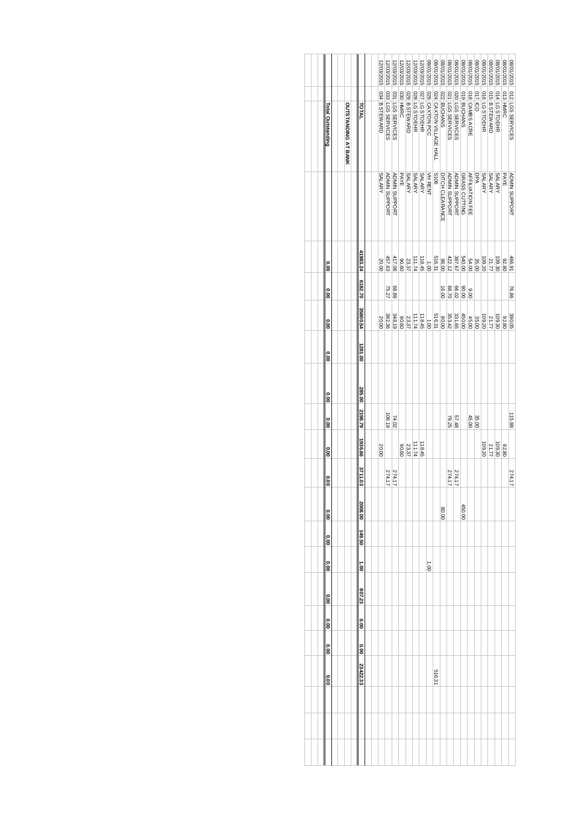| Total Outstanding | <b>OUTSTANDING AT BANK</b> | TOTAL         | 12/03/2015<br>034 B STEWARD | 2/03/2015<br>033 LGS SERVICES | 2/03/2015<br>031 LGS SERVICES | 12/03/2015<br>030 HMRC<br>PAYE | 12/03/2015<br>029 B STEWARD | 2/03/2015<br><b>028 LG STOEHR</b> | 12/03/2015<br>027 LG STOEHR | 15102/10/80<br>026 CAXTON PCC | 8/01/2015<br>024 CAXTON VILLAGE HALI<br><b>S106</b> | 9102/10/80<br>022 BUCHANS | 15102/10/80<br>021 LGS SERVICES | 310Z/10/80<br>020 LGS SERVICES | 3102/10/80<br>019 BUCHANS | 3102/10/80<br>018 CAMBS ACRE | 310Z/10/80<br>0117 ICO<br>DPA | 3102/10/80<br>016 LG STOEHR | 3102/10/80<br>015 B STEWARD | 3102/10/80<br>014 LG STOEHR | 3102/10/80<br>013 HMRC<br>PAYE | 15102/10/80<br>012 LGS SERVICES |
|-------------------|----------------------------|---------------|-----------------------------|-------------------------------|-------------------------------|--------------------------------|-----------------------------|-----------------------------------|-----------------------------|-------------------------------|-----------------------------------------------------|---------------------------|---------------------------------|--------------------------------|---------------------------|------------------------------|-------------------------------|-----------------------------|-----------------------------|-----------------------------|--------------------------------|---------------------------------|
|                   |                            |               | <b>SALARY</b>               | <b>ADMIN SUPPORT</b>          | <b>ADMIN SUPPORT</b>          |                                | <b>SALARY</b>               | <b>SALARY</b>                     | <b>SALARY</b>               | VH RENT                       |                                                     | DITCH CLEARANCE           | <b>ADMIN SUPPORT</b>            | <b>ADMIN SUPPORT</b>           | GRASS CUTTING             | <b>AFFILIATION FEE</b>       |                               | <b>SALARY</b>               | <b>SALARY</b>               | <b>SALARY</b>               |                                | <b>ADMIN SUPPORT</b>            |
| <b>0.00</b>       |                            | 41983.24      | 20.00                       | 457.63                        | 417.08                        | 09.06                          | 23.37                       | 111.74                            | 118.45                      | $00^1$                        | 516.31                                              | 00.00                     | 422.12                          | 397.67                         | 540.00                    | 54.00                        | 35.00                         | 109.20                      | 21.77                       | 109.30                      | 92.80                          | 466.91                          |
| 。<br>8            |                            | 6182.70       |                             | 75.27                         | 68.89                         |                                |                             |                                   |                             |                               |                                                     | 16.00                     | 68.70                           | 66.02                          | 00.08                     | 00.6                         |                               |                             |                             |                             |                                | 76.86                           |
| <b>0.00</b>       |                            | 35800.54      | 20.00                       | 382.36                        | 348.19                        | 0906                           | 23.37                       | 111.74                            | 118.45                      | 1.001                         | 516.31                                              | 00'08                     | 353.42                          | 331.65                         | 450.00                    | 45.00                        | 35.00                         | 109.20                      | 21.77                       | 109.30                      | 92.80                          | 390.05                          |
| <b>000</b>        |                            | 1281.00       |                             |                               |                               |                                |                             |                                   |                             |                               |                                                     |                           |                                 |                                |                           |                              |                               |                             |                             |                             |                                |                                 |
| $\frac{6}{10}$    |                            | 285.00        |                             |                               |                               |                                |                             |                                   |                             |                               |                                                     |                           |                                 |                                |                           |                              |                               |                             |                             |                             |                                |                                 |
| <b>0.00</b>       |                            | 2198.79       |                             | 108.19                        | 74.02                         |                                |                             |                                   |                             |                               |                                                     |                           | 57.48                           |                                |                           | 45.00                        | 35.00                         |                             |                             |                             |                                | 115.88                          |
| <b>0.00</b>       |                            | 1936.66       | 20.00                       |                               |                               | 09.06                          | 23.37                       | 111.74                            | 118.45                      |                               |                                                     |                           |                                 |                                |                           |                              |                               | 109.20                      | 21.77                       | 109.30                      | 92.80                          |                                 |
| <b>0.00</b>       |                            | 3711.03       |                             | 274.17                        | 274.17                        |                                |                             |                                   |                             |                               |                                                     |                           | 274.17                          | 274.17                         |                           |                              |                               |                             |                             |                             |                                | 274.17                          |
| o.o               |                            | 2008.00       |                             |                               |                               |                                |                             |                                   |                             |                               |                                                     | 80.00                     |                                 |                                | 450.00                    |                              |                               |                             |                             |                             |                                |                                 |
| 00°O              |                            | 149.50        |                             |                               |                               |                                |                             |                                   |                             |                               |                                                     |                           |                                 |                                |                           |                              |                               |                             |                             |                             |                                |                                 |
| $\frac{6}{1}$     |                            | $\frac{1}{2}$ |                             |                               |                               |                                |                             |                                   |                             | $00^{\circ}$                  |                                                     |                           |                                 |                                |                           |                              |                               |                             |                             |                             |                                |                                 |
| <b>OO</b>         |                            | 807.23        |                             |                               |                               |                                |                             |                                   |                             |                               |                                                     |                           |                                 |                                |                           |                              |                               |                             |                             |                             |                                |                                 |
| <b>0.00</b>       |                            | <b>00.00</b>  |                             |                               |                               |                                |                             |                                   |                             |                               |                                                     |                           |                                 |                                |                           |                              |                               |                             |                             |                             |                                |                                 |
| <b>0.00</b>       |                            | <b>O.OO</b>   |                             |                               |                               |                                |                             |                                   |                             |                               |                                                     |                           |                                 |                                |                           |                              |                               |                             |                             |                             |                                |                                 |
| <b>00.00</b>      |                            | 23422.33      |                             |                               |                               |                                |                             |                                   |                             |                               | 516.31                                              |                           |                                 |                                |                           |                              |                               |                             |                             |                             |                                |                                 |